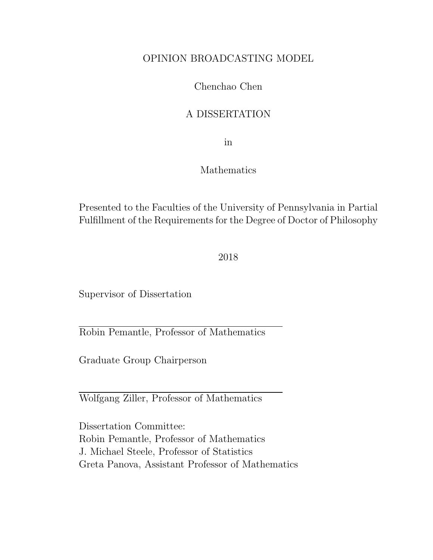#### OPINION BROADCASTING MODEL

#### Chenchao Chen

#### A DISSERTATION

in

#### Mathematics

Presented to the Faculties of the University of Pennsylvania in Partial Fulfillment of the Requirements for the Degree of Doctor of Philosophy

2018

Supervisor of Dissertation

Robin Pemantle, Professor of Mathematics

Graduate Group Chairperson

Wolfgang Ziller, Professor of Mathematics

Dissertation Committee: Robin Pemantle, Professor of Mathematics J. Michael Steele, Professor of Statistics Greta Panova, Assistant Professor of Mathematics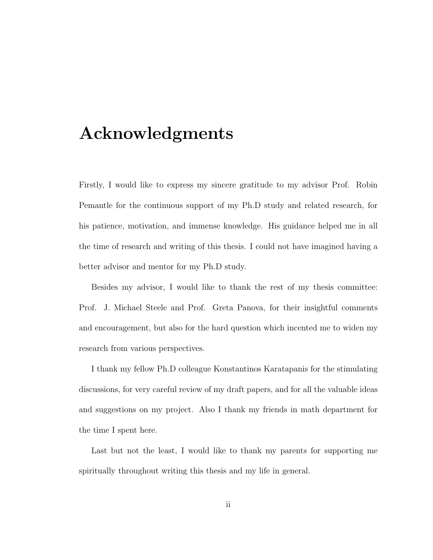## Acknowledgments

Firstly, I would like to express my sincere gratitude to my advisor Prof. Robin Pemantle for the continuous support of my Ph.D study and related research, for his patience, motivation, and immense knowledge. His guidance helped me in all the time of research and writing of this thesis. I could not have imagined having a better advisor and mentor for my Ph.D study.

Besides my advisor, I would like to thank the rest of my thesis committee: Prof. J. Michael Steele and Prof. Greta Panova, for their insightful comments and encouragement, but also for the hard question which incented me to widen my research from various perspectives.

I thank my fellow Ph.D colleague Konstantinos Karatapanis for the stimulating discussions, for very careful review of my draft papers, and for all the valuable ideas and suggestions on my project. Also I thank my friends in math department for the time I spent here.

Last but not the least, I would like to thank my parents for supporting me spiritually throughout writing this thesis and my life in general.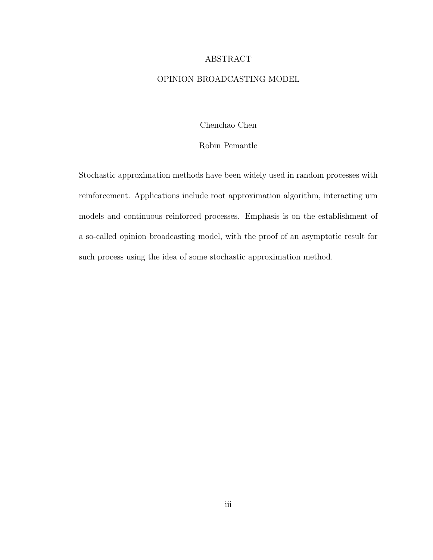#### ABSTRACT

#### OPINION BROADCASTING MODEL

Chenchao Chen

#### Robin Pemantle

Stochastic approximation methods have been widely used in random processes with reinforcement. Applications include root approximation algorithm, interacting urn models and continuous reinforced processes. Emphasis is on the establishment of a so-called opinion broadcasting model, with the proof of an asymptotic result for such process using the idea of some stochastic approximation method.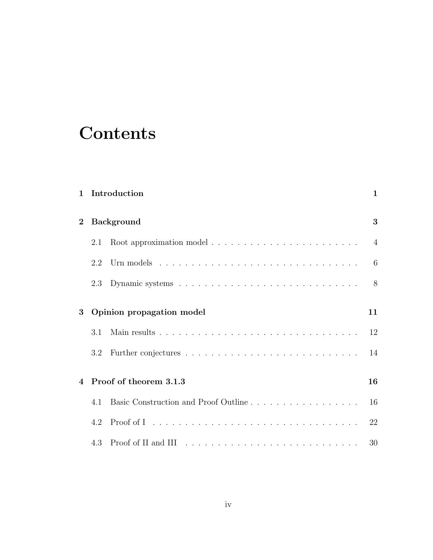# **Contents**

| $\mathbf{1}$   |                           | Introduction                                                                                                 | $\mathbf{1}$   |  |  |
|----------------|---------------------------|--------------------------------------------------------------------------------------------------------------|----------------|--|--|
| $\overline{2}$ | <b>Background</b>         |                                                                                                              |                |  |  |
|                | 2.1                       |                                                                                                              | $\overline{4}$ |  |  |
|                | 2.2                       |                                                                                                              | 6              |  |  |
|                | 2.3                       |                                                                                                              | 8              |  |  |
| 3              | Opinion propagation model |                                                                                                              |                |  |  |
|                | 3.1                       |                                                                                                              | 12             |  |  |
|                | 3.2                       |                                                                                                              | 14             |  |  |
| $\overline{4}$ | Proof of theorem 3.1.3    |                                                                                                              |                |  |  |
|                | 4.1                       |                                                                                                              | 16             |  |  |
|                | 4.2                       | Proof of I received a series and series are a series and proof of I received a series are a series and proof | 22             |  |  |
|                | 4.3                       |                                                                                                              | 30             |  |  |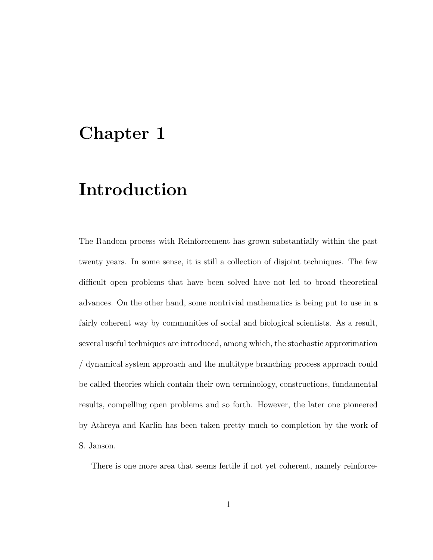### Chapter 1

# Introduction

The Random process with Reinforcement has grown substantially within the past twenty years. In some sense, it is still a collection of disjoint techniques. The few difficult open problems that have been solved have not led to broad theoretical advances. On the other hand, some nontrivial mathematics is being put to use in a fairly coherent way by communities of social and biological scientists. As a result, several useful techniques are introduced, among which, the stochastic approximation / dynamical system approach and the multitype branching process approach could be called theories which contain their own terminology, constructions, fundamental results, compelling open problems and so forth. However, the later one pioneered by Athreya and Karlin has been taken pretty much to completion by the work of S. Janson.

There is one more area that seems fertile if not yet coherent, namely reinforce-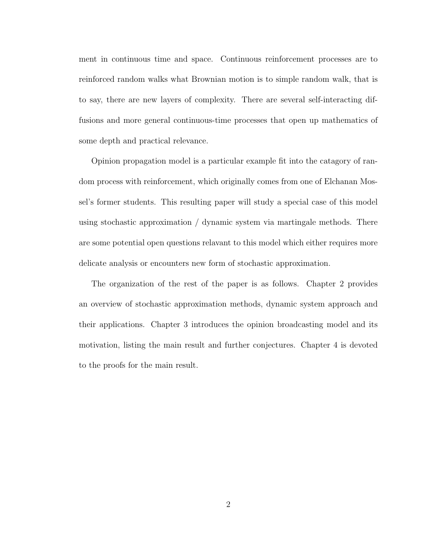ment in continuous time and space. Continuous reinforcement processes are to reinforced random walks what Brownian motion is to simple random walk, that is to say, there are new layers of complexity. There are several self-interacting diffusions and more general continuous-time processes that open up mathematics of some depth and practical relevance.

Opinion propagation model is a particular example fit into the catagory of random process with reinforcement, which originally comes from one of Elchanan Mossel's former students. This resulting paper will study a special case of this model using stochastic approximation / dynamic system via martingale methods. There are some potential open questions relavant to this model which either requires more delicate analysis or encounters new form of stochastic approximation.

The organization of the rest of the paper is as follows. Chapter 2 provides an overview of stochastic approximation methods, dynamic system approach and their applications. Chapter 3 introduces the opinion broadcasting model and its motivation, listing the main result and further conjectures. Chapter 4 is devoted to the proofs for the main result.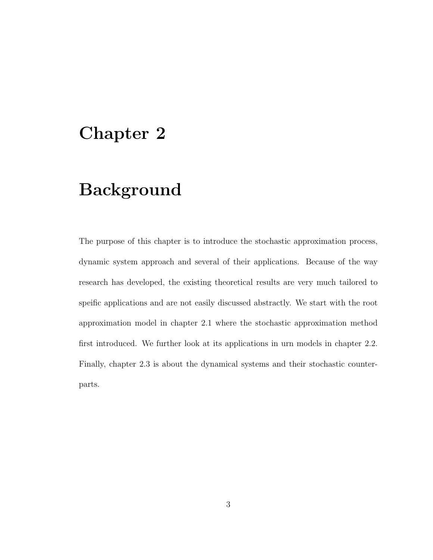### Chapter 2

## Background

The purpose of this chapter is to introduce the stochastic approximation process, dynamic system approach and several of their applications. Because of the way research has developed, the existing theoretical results are very much tailored to speific applications and are not easily discussed abstractly. We start with the root approximation model in chapter 2.1 where the stochastic approximation method first introduced. We further look at its applications in urn models in chapter 2.2. Finally, chapter 2.3 is about the dynamical systems and their stochastic counterparts.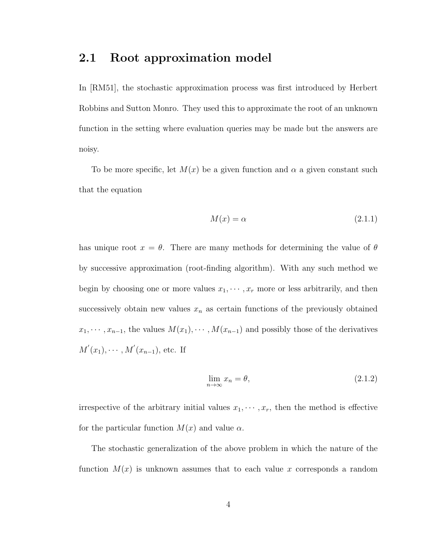### 2.1 Root approximation model

In [RM51], the stochastic approximation process was first introduced by Herbert Robbins and Sutton Monro. They used this to approximate the root of an unknown function in the setting where evaluation queries may be made but the answers are noisy.

To be more specific, let  $M(x)$  be a given function and  $\alpha$  a given constant such that the equation

$$
M(x) = \alpha \tag{2.1.1}
$$

has unique root  $x = \theta$ . There are many methods for determining the value of  $\theta$ by successive approximation (root-finding algorithm). With any such method we begin by choosing one or more values  $x_1, \dots, x_r$  more or less arbitrarily, and then successively obtain new values  $x_n$  as certain functions of the previously obtained  $x_1, \dots, x_{n-1}$ , the values  $M(x_1), \dots, M(x_{n-1})$  and possibly those of the derivatives  $M'(x_1), \cdots, M'(x_{n-1}),$  etc. If

$$
\lim_{n \to \infty} x_n = \theta,\tag{2.1.2}
$$

irrespective of the arbitrary initial values  $x_1, \dots, x_r$ , then the method is effective for the particular function  $M(x)$  and value  $\alpha$ .

The stochastic generalization of the above problem in which the nature of the function  $M(x)$  is unknown assumes that to each value x corresponds a random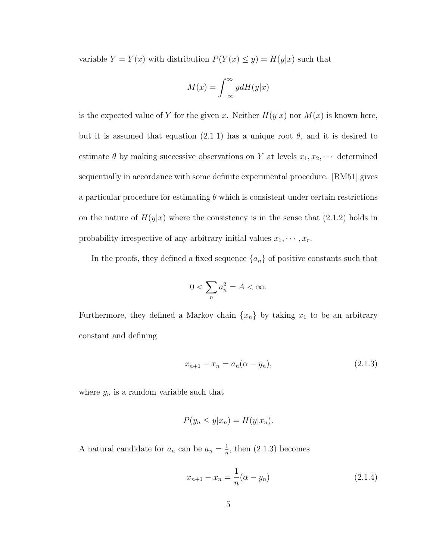variable  $Y = Y(x)$  with distribution  $P(Y(x) \le y) = H(y|x)$  such that

$$
M(x) = \int_{-\infty}^{\infty} y dH(y|x)
$$

is the expected value of Y for the given x. Neither  $H(y|x)$  nor  $M(x)$  is known here, but it is assumed that equation (2.1.1) has a unique root  $\theta$ , and it is desired to estimate  $\theta$  by making successive observations on Y at levels  $x_1, x_2, \cdots$  determined sequentially in accordance with some definite experimental procedure. [RM51] gives a particular procedure for estimating  $\theta$  which is consistent under certain restrictions on the nature of  $H(y|x)$  where the consistency is in the sense that  $(2.1.2)$  holds in probability irrespective of any arbitrary initial values  $x_1, \dots, x_r$ .

In the proofs, they defined a fixed sequence  $\{a_n\}$  of positive constants such that

$$
0 < \sum_n a_n^2 = A < \infty.
$$

Furthermore, they defined a Markov chain  $\{x_n\}$  by taking  $x_1$  to be an arbitrary constant and defining

$$
x_{n+1} - x_n = a_n(\alpha - y_n),
$$
\n(2.1.3)

where  $y_n$  is a random variable such that

$$
P(y_n \le y | x_n) = H(y | x_n).
$$

A natural candidate for  $a_n$  can be  $a_n = \frac{1}{n}$  $\frac{1}{n}$ , then (2.1.3) becomes

$$
x_{n+1} - x_n = \frac{1}{n}(\alpha - y_n)
$$
 (2.1.4)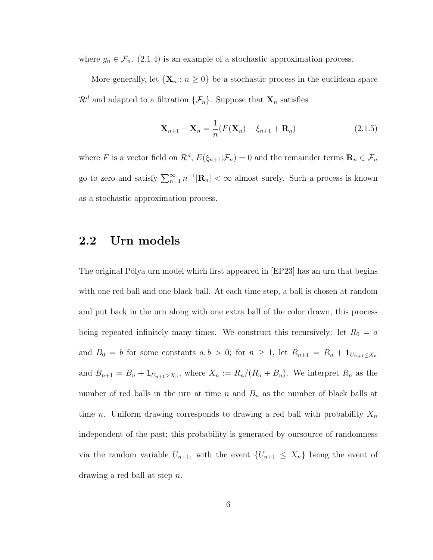where  $y_n \in \mathcal{F}_n$ . (2.1.4) is an example of a stochastic approximation process.

More generally, let  $\{X_n : n \geq 0\}$  be a stochastic process in the euclidean space  $\mathcal{R}^d$  and adapted to a filtration  $\{\mathcal{F}_n\}$ . Suppose that  $\mathbf{X}_n$  satisfies

$$
\mathbf{X}_{n+1} - \mathbf{X}_n = \frac{1}{n} (F(\mathbf{X}_n) + \xi_{n+1} + \mathbf{R}_n)
$$
\n(2.1.5)

where F is a vector field on  $\mathcal{R}^d$ ,  $E(\xi_{n+1}|\mathcal{F}_n)=0$  and the remainder terms  $\mathbf{R}_n \in \mathcal{F}_n$ go to zero and satisfy  $\sum_{n=1}^{\infty} n^{-1} |\mathbf{R}_n| < \infty$  almost surely. Such a process is known as a stochastic approximation process.

#### 2.2 Urn models

The original Pólya urn model which first appeared in [EP23] has an urn that begins with one red ball and one black ball. At each time step, a ball is chosen at random and put back in the urn along with one extra ball of the color drawn, this process being repeated infinitely many times. We construct this recursively: let  $R_0 = a$ and  $B_0 = b$  for some constants  $a, b > 0$ ; for  $n \geq 1$ , let  $R_{n+1} = R_n + \mathbf{1}_{U_{n+1} \leq X_n}$ and  $B_{n+1} = B_n + \mathbf{1}_{U_{n+1} > X_n}$ , where  $X_n := R_n/(R_n + B_n)$ . We interpret  $R_n$  as the number of red balls in the urn at time  $n$  and  $B_n$  as the number of black balls at time *n*. Uniform drawing corresponds to drawing a red ball with probability  $X_n$ independent of the past; this probability is generated by oursource of randomness via the random variable  $U_{n+1}$ , with the event  $\{U_{n+1} \leq X_n\}$  being the event of drawing a red ball at step n.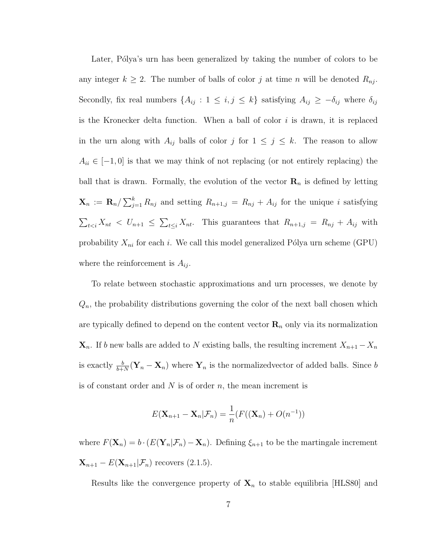Later, Pólya's urn has been generalized by taking the number of colors to be any integer  $k \geq 2$ . The number of balls of color j at time n will be denoted  $R_{nj}$ . Secondly, fix real numbers  $\{A_{ij} : 1 \le i, j \le k\}$  satisfying  $A_{ij} \ge -\delta_{ij}$  where  $\delta_{ij}$ is the Kronecker delta function. When a ball of color  $i$  is drawn, it is replaced in the urn along with  $A_{ij}$  balls of color j for  $1 \leq j \leq k$ . The reason to allow  $A_{ii} \in [-1,0]$  is that we may think of not replacing (or not entirely replacing) the ball that is drawn. Formally, the evolution of the vector  $\mathbf{R}_n$  is defined by letting  $\mathbf{X}_n := \mathbf{R}_n / \sum_{j=1}^k R_{nj}$  and setting  $R_{n+1,j} = R_{nj} + A_{ij}$  for the unique i satisfying  $\sum_{t \leq i} X_{nt} \leq U_{n+1} \leq \sum_{t \leq i} X_{nt}$ . This guarantees that  $R_{n+1,j} = R_{nj} + A_{ij}$  with probability  $X_{ni}$  for each i. We call this model generalized Pólya urn scheme (GPU) where the reinforcement is  $A_{ij}$ .

To relate between stochastic approximations and urn processes, we denote by  $Q_n$ , the probability distributions governing the color of the next ball chosen which are typically defined to depend on the content vector  $\mathbf{R}_n$  only via its normalization  $\mathbf{X}_n$ . If b new balls are added to N existing balls, the resulting increment  $X_{n+1} - X_n$ is exactly  $\frac{b}{b+N}(\mathbf{Y}_n - \mathbf{X}_n)$  where  $\mathbf{Y}_n$  is the normalizedvector of added balls. Since b is of constant order and  $N$  is of order  $n$ , the mean increment is

$$
E(\mathbf{X}_{n+1} - \mathbf{X}_n | \mathcal{F}_n) = \frac{1}{n} (F((\mathbf{X}_n) + O(n^{-1}))
$$

where  $F(\mathbf{X}_n) = b \cdot (E(\mathbf{Y}_n|\mathcal{F}_n) - \mathbf{X}_n)$ . Defining  $\xi_{n+1}$  to be the martingale increment  $\mathbf{X}_{n+1} - E(\mathbf{X}_{n+1}|\mathcal{F}_n)$  recovers (2.1.5).

Results like the convergence property of  $X_n$  to stable equilibria [HLS80] and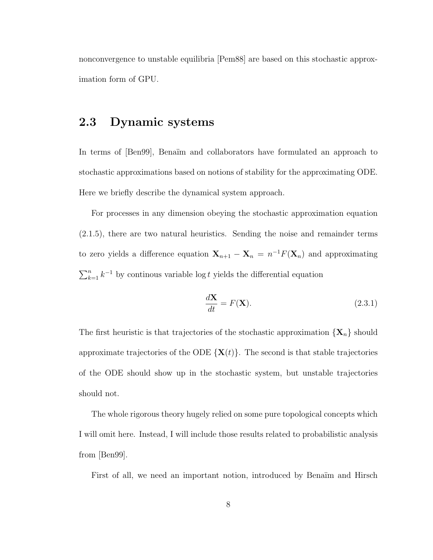nonconvergence to unstable equilibria [Pem88] are based on this stochastic approximation form of GPU.

#### 2.3 Dynamic systems

In terms of [Ben99], Benaïm and collaborators have formulated an approach to stochastic approximations based on notions of stability for the approximating ODE. Here we briefly describe the dynamical system approach.

For processes in any dimension obeying the stochastic approximation equation (2.1.5), there are two natural heuristics. Sending the noise and remainder terms to zero yields a difference equation  $\mathbf{X}_{n+1} - \mathbf{X}_n = n^{-1} F(\mathbf{X}_n)$  and approximating  $\sum_{k=1}^{n} k^{-1}$  by continous variable log t yields the differential equation

$$
\frac{d\mathbf{X}}{dt} = F(\mathbf{X}).\tag{2.3.1}
$$

The first heuristic is that trajectories of the stochastic approximation  $\{X_n\}$  should approximate trajectories of the ODE  $\{X(t)\}\$ . The second is that stable trajectories of the ODE should show up in the stochastic system, but unstable trajectories should not.

The whole rigorous theory hugely relied on some pure topological concepts which I will omit here. Instead, I will include those results related to probabilistic analysis from [Ben99].

First of all, we need an important notion, introduced by Benaïm and Hirsch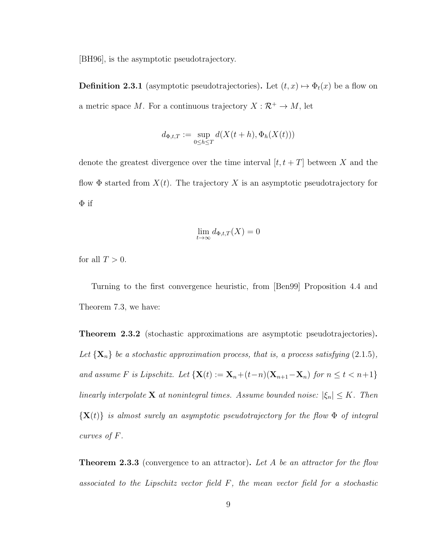[BH96], is the asymptotic pseudotrajectory.

**Definition 2.3.1** (asymptotic pseudotrajectories). Let  $(t, x) \mapsto \Phi_t(x)$  be a flow on a metric space M. For a continuous trajectory  $X : \mathcal{R}^+ \to M$ , let

$$
d_{\Phi,t,T} := \sup_{0 \le h \le T} d(X(t+h), \Phi_h(X(t)))
$$

denote the greatest divergence over the time interval  $[t, t + T]$  between X and the flow  $\Phi$  started from  $X(t)$ . The trajectory X is an asymptotic pseudotrajectory for  $\Phi$  if

$$
\lim_{t \to \infty} d_{\Phi,t,T}(X) = 0
$$

for all  $T > 0$ .

Turning to the first convergence heuristic, from [Ben99] Proposition 4.4 and Theorem 7.3, we have:

Theorem 2.3.2 (stochastic approximations are asymptotic pseudotrajectories). Let  $\{X_n\}$  be a stochastic approximation process, that is, a process satisfying (2.1.5), and assume F is Lipschitz. Let  $\{X(t) := X_n + (t-n)(X_{n+1}-X_n)$  for  $n \le t < n+1\}$ linearly interpolate **X** at nonintegral times. Assume bounded noise:  $|\xi_n| \leq K$ . Then  ${X(t)}$  is almost surely an asymptotic pseudotrajectory for the flow  $\Phi$  of integral curves of F.

**Theorem 2.3.3** (convergence to an attractor). Let A be an attractor for the flow associated to the Lipschitz vector field F, the mean vector field for a stochastic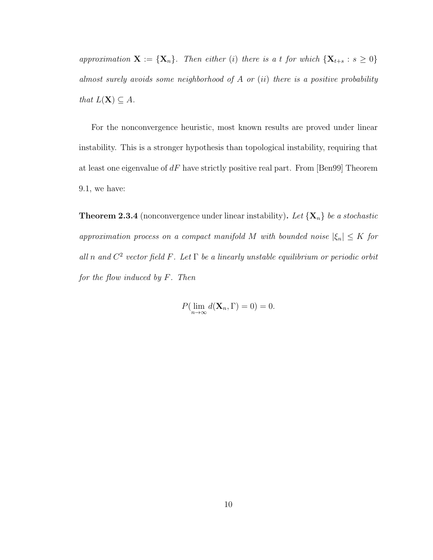approximation  $\mathbf{X} := \{ \mathbf{X}_n \}$ . Then either (i) there is a t for which  $\{ \mathbf{X}_{t+s} : s \geq 0 \}$ almost surely avoids some neighborhood of  $A$  or  $(ii)$  there is a positive probability that  $L(\mathbf{X}) \subseteq A$ .

For the nonconvergence heuristic, most known results are proved under linear instability. This is a stronger hypothesis than topological instability, requiring that at least one eigenvalue of  $dF$  have strictly positive real part. From [Ben99] Theorem 9.1, we have:

**Theorem 2.3.4** (nonconvergence under linear instability). Let  $\{X_n\}$  be a stochastic approximation process on a compact manifold M with bounded noise  $|\xi_n| \leq K$  for all n and  $C^2$  vector field F. Let  $\Gamma$  be a linearly unstable equilibrium or periodic orbit for the flow induced by F. Then

$$
P(\lim_{n\to\infty} d(\mathbf{X}_n, \Gamma) = 0) = 0.
$$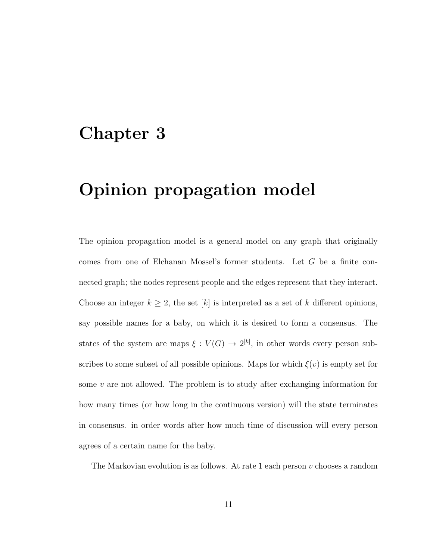### Chapter 3

# Opinion propagation model

The opinion propagation model is a general model on any graph that originally comes from one of Elchanan Mossel's former students. Let G be a finite connected graph; the nodes represent people and the edges represent that they interact. Choose an integer  $k \geq 2$ , the set [k] is interpreted as a set of k different opinions, say possible names for a baby, on which it is desired to form a consensus. The states of the system are maps  $\xi: V(G) \to 2^{[k]}$ , in other words every person subscribes to some subset of all possible opinions. Maps for which  $\xi(v)$  is empty set for some  $v$  are not allowed. The problem is to study after exchanging information for how many times (or how long in the continuous version) will the state terminates in consensus. in order words after how much time of discussion will every person agrees of a certain name for the baby.

The Markovian evolution is as follows. At rate 1 each person  $v$  chooses a random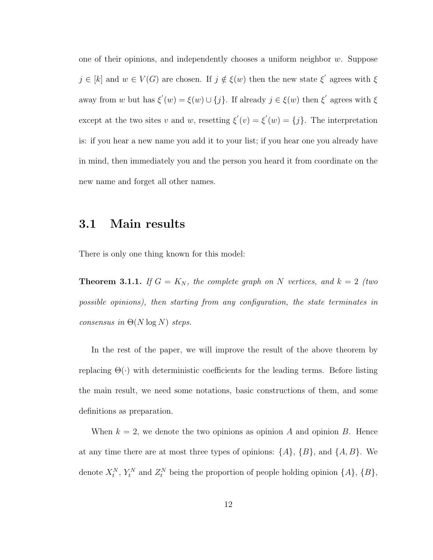one of their opinions, and independently chooses a uniform neighbor  $w$ . Suppose  $j \in [k]$  and  $w \in V(G)$  are chosen. If  $j \notin \xi(w)$  then the new state  $\xi'$  agrees with  $\xi$ away from w but has  $\xi'(w) = \xi(w) \cup \{j\}$ . If already  $j \in \xi(w)$  then  $\xi'$  agrees with  $\xi$ except at the two sites v and w, resetting  $\xi'(v) = \xi'(w) = \{j\}$ . The interpretation is: if you hear a new name you add it to your list; if you hear one you already have in mind, then immediately you and the person you heard it from coordinate on the new name and forget all other names.

### 3.1 Main results

There is only one thing known for this model:

**Theorem 3.1.1.** If  $G = K_N$ , the complete graph on N vertices, and  $k = 2$  (two possible opinions), then starting from any configuration, the state terminates in consensus in  $\Theta(N \log N)$  steps.

In the rest of the paper, we will improve the result of the above theorem by replacing  $\Theta(\cdot)$  with deterministic coefficients for the leading terms. Before listing the main result, we need some notations, basic constructions of them, and some definitions as preparation.

When  $k = 2$ , we denote the two opinions as opinion A and opinion B. Hence at any time there are at most three types of opinions:  $\{A\}$ ,  $\{B\}$ , and  $\{A, B\}$ . We denote  $X_t^N$ ,  $Y_t^N$  and  $Z_t^N$  being the proportion of people holding opinion  $\{A\}$ ,  $\{B\}$ ,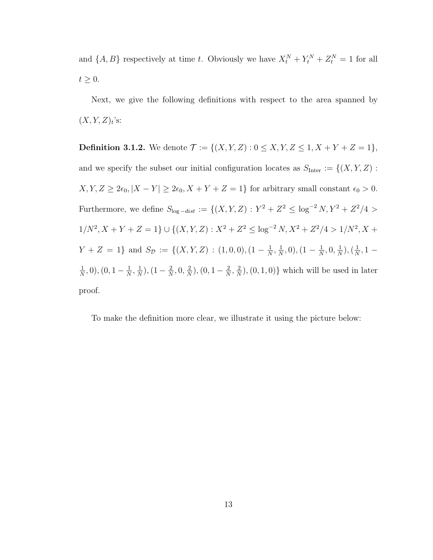and  $\{A, B\}$  respectively at time t. Obviously we have  $X_t^N + Y_t^N + Z_t^N = 1$  for all  $t \geq 0$ .

Next, we give the following definitions with respect to the area spanned by  $(X, Y, Z)_t$ 's:

**Definition 3.1.2.** We denote  $\mathcal{T} := \{(X, Y, Z) : 0 \le X, Y, Z \le 1, X + Y + Z = 1\},\$ and we specify the subset our initial configuration locates as  $S_{\text{Inter}} := \{(X, Y, Z) :$  $X, Y, Z \geq 2\epsilon_0, |X - Y| \geq 2\epsilon_0, X + Y + Z = 1$ } for arbitrary small constant  $\epsilon_0 > 0$ . Furthermore, we define  $S_{\log -dist} := \{(X, Y, Z) : Y^2 + Z^2 \leq \log^{-2} N, Y^2 + Z^2/4 >$  $1/N^2$ ,  $X + Y + Z = 1$   $\} \cup \{(X, Y, Z) : X^2 + Z^2 \leq \log^{-2} N$ ,  $X^2 + Z^2/4 > 1/N^2$ ,  $X +$  $Y + Z = 1$  and  $S_{\mathcal{D}} := \{(X, Y, Z) : (1, 0, 0), (1 - \frac{1}{N})\}$  $\frac{1}{N}$ ,  $\frac{1}{N}$  $\frac{1}{N}, 0), (1 - \frac{1}{N})$  $\frac{1}{N}, 0, \frac{1}{N}$  $\frac{1}{N}$ ),  $\left(\frac{1}{N}\right)$  $\frac{1}{N}$ , 1 – 1  $\frac{1}{N}, 0), (0, 1-\frac{1}{N})$  $\frac{1}{N}$ ,  $\frac{1}{N}$  $\frac{1}{N}$ ),  $(1 - \frac{2}{N})$  $\frac{2}{N}, 0, \frac{2}{N}$  $\frac{2}{N}$ ),  $(0, 1 - \frac{2}{N})$  $\frac{2}{N}$ ,  $\frac{2}{N}$  $(\frac{2}{N}), (0, 1, 0)$  which will be used in later proof.

To make the definition more clear, we illustrate it using the picture below: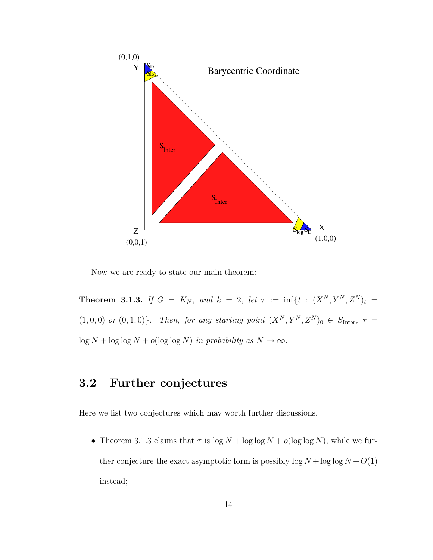

Now we are ready to state our main theorem:

**Theorem 3.1.3.** If  $G = K_N$ , and  $k = 2$ , let  $\tau := \inf\{t : (X^N, Y^N, Z^N)t\}$  $(1, 0, 0)$  or  $(0, 1, 0)$ . Then, for any starting point  $(X^N, Y^N, Z^N)_0 \in S_{\text{Inter}}$ ,  $\tau =$  $\log N + \log \log N + o(\log \log N)$  in probability as  $N \to \infty$ .

### 3.2 Further conjectures

Here we list two conjectures which may worth further discussions.

• Theorem 3.1.3 claims that  $\tau$  is  $\log N + \log \log N + o(\log \log N)$ , while we further conjecture the exact asymptotic form is possibly  $\log N + \log \log N + O(1)$ instead;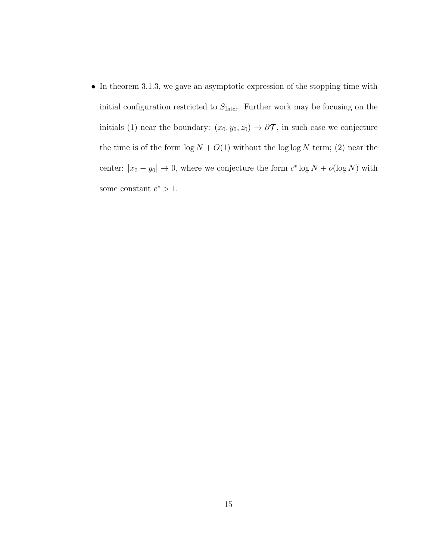• In theorem 3.1.3, we gave an asymptotic expression of the stopping time with initial configuration restricted to  $S_{\text{Inter}}$ . Further work may be focusing on the initials (1) near the boundary:  $(x_0, y_0, z_0) \rightarrow \partial \mathcal{T}$ , in such case we conjecture the time is of the form  $\log N + O(1)$  without the  $\log \log N$  term; (2) near the center:  $|x_0 - y_0| \to 0$ , where we conjecture the form  $c^* \log N + o(\log N)$  with some constant  $c^* > 1$ .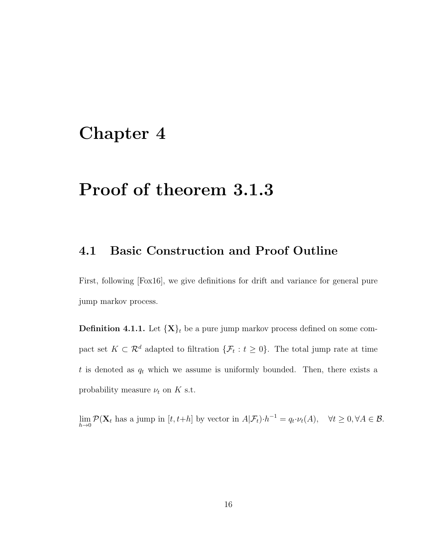### Chapter 4

### Proof of theorem 3.1.3

#### 4.1 Basic Construction and Proof Outline

First, following [Fox16], we give definitions for drift and variance for general pure jump markov process.

**Definition 4.1.1.** Let  $\{X\}_t$  be a pure jump markov process defined on some compact set  $K \subset \mathcal{R}^d$  adapted to filtration  $\{\mathcal{F}_t : t \geq 0\}$ . The total jump rate at time  $t$  is denoted as  $q_t$  which we assume is uniformly bounded. Then, there exists a probability measure  $\nu_t$  on K s.t.

 $\lim_{h\to 0} \mathcal{P}(\mathbf{X}_t$  has a jump in  $[t, t+h]$  by vector in  $A|\mathcal{F}_t)\cdot h^{-1} = q_t \cdot \nu_t(A)$ ,  $\forall t \geq 0, \forall A \in \mathcal{B}$ .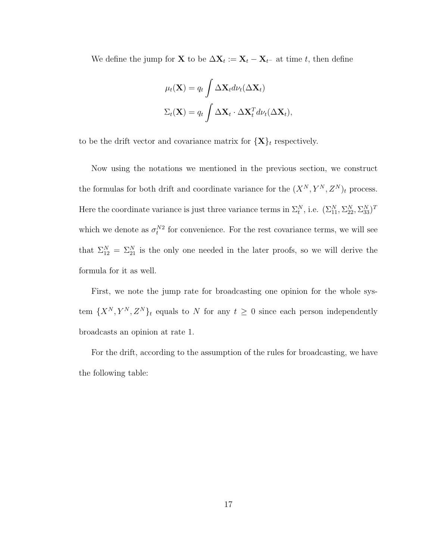We define the jump for **X** to be  $\Delta \mathbf{X}_t := \mathbf{X}_t - \mathbf{X}_{t-}$  at time t, then define

$$
\mu_t(\mathbf{X}) = q_t \int \Delta \mathbf{X}_t d\nu_t(\Delta \mathbf{X}_t)
$$

$$
\Sigma_t(\mathbf{X}) = q_t \int \Delta \mathbf{X}_t \cdot \Delta \mathbf{X}_t^T d\nu_t(\Delta \mathbf{X}_t),
$$

to be the drift vector and covariance matrix for  $\{X\}_t$  respectively.

Now using the notations we mentioned in the previous section, we construct the formulas for both drift and coordinate variance for the  $(X^N, Y^N, Z^N)_t$  process. Here the coordinate variance is just three variance terms in  $\Sigma_t^N$ , i.e.  $(\Sigma_{11}^N, \Sigma_{22}^N, \Sigma_{33}^N)^T$ which we denote as  $\sigma_t^{N2}$  for convenience. For the rest covariance terms, we will see that  $\Sigma_{12}^N = \Sigma_{21}^N$  is the only one needed in the later proofs, so we will derive the formula for it as well.

First, we note the jump rate for broadcasting one opinion for the whole system  $\{X^N, Y^N, Z^N\}_t$  equals to N for any  $t \geq 0$  since each person independently broadcasts an opinion at rate 1.

For the drift, according to the assumption of the rules for broadcasting, we have the following table: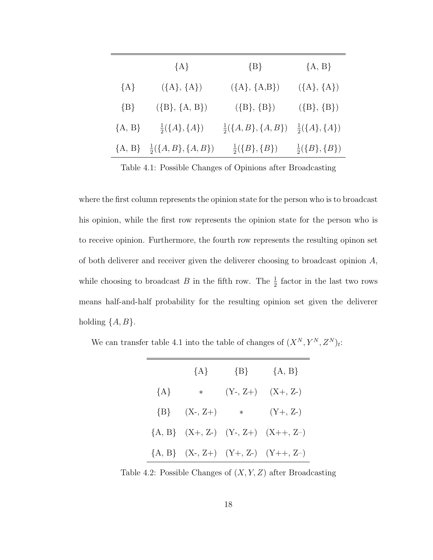|          | ${A}$                                           | $\{B\}$                        | ${A, B}$                   |
|----------|-------------------------------------------------|--------------------------------|----------------------------|
| ${A}$    | $({A}, {A})$                                    | $({A}, {A}, B)$                | $({A}, {A})$               |
| $\{B\}$  | $({B}, {A, B})$                                 | $({B}, {B})$                   | $({B}, {B})$               |
| ${A, B}$ | $\frac{1}{2}(\{A\},\{A\})$                      | $\frac{1}{2}(\{A,B\},\{A,B\})$ | $\frac{1}{2}(\{A\},\{A\})$ |
|          | ${A, B} \quad \frac{1}{2} (\{A, B\}, \{A, B\})$ | $\frac{1}{2}(\{B\},\{B\})$     | $\frac{1}{2}(\{B\},\{B\})$ |

Table 4.1: Possible Changes of Opinions after Broadcasting

where the first column represents the opinion state for the person who is to broadcast his opinion, while the first row represents the opinion state for the person who is to receive opinion. Furthermore, the fourth row represents the resulting opinon set of both deliverer and receiver given the deliverer choosing to broadcast opinion  $A$ , while choosing to broadcast B in the fifth row. The  $\frac{1}{2}$  factor in the last two rows means half-and-half probability for the resulting opinion set given the deliverer holding  $\{A, B\}.$ 

We can transfer table 4.1 into the table of changes of  $(X^N, Y^N, Z^N)_t$ :

|         | ${A}$      | $\{B\}$    | ${A, B}$                                     |
|---------|------------|------------|----------------------------------------------|
| ${A}$   | $\ast$     | $(Y-, Z+)$ | $(X+, Z-)$                                   |
| $\{B\}$ | $(X-, Z+)$ | $\ast$     | $(Y+, Z-)$                                   |
|         |            |            | $\{A, B\}$ $(X+, Z-)$ $(Y-, Z+)$ $(X++, Z-)$ |
|         |            |            | ${A, B} (X-, Z+) (Y+, Z-) (Y+, Z-)$          |

Table 4.2: Possible Changes of  $(X, Y, Z)$  after Broadcasting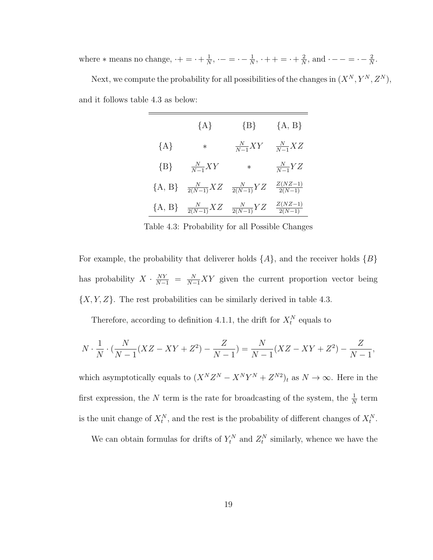where  $*$  means no change,  $\cdot + = \cdot + \frac{1}{N}$  $\frac{1}{N}$ ,  $\cdot$  – =  $\cdot$  –  $\frac{1}{N}$  $\frac{1}{N}$ ,  $\cdot + + = \cdot + \frac{2}{N}$  $\frac{2}{N}$ , and  $\cdot$  - - =  $\cdot$  -  $\frac{2}{N}$  $\frac{2}{N}$ . Next, we compute the probability for all possibilities of the changes in  $(X^N, Y^N, Z^N)$ , and it follows table 4.3 as below:

|          | ${A}$                | ${B}$                | ${A, B}$                 |
|----------|----------------------|----------------------|--------------------------|
| ${A}$    | $\ast$               | $\frac{N}{N-1}XY$    | $\frac{N}{N-1}XZ$        |
| ${B}$    | $\frac{N}{N-1}XY$    | $\ast$               | $\frac{N}{N-1}YZ$        |
| ${A, B}$ | $\frac{N}{2(N-1)}XZ$ | $\frac{N}{2(N-1)}YZ$ | $\frac{Z(NZ-1)}{2(N-1)}$ |
| ${A, B}$ | $\frac{N}{2(N-1)}XZ$ | $\frac{N}{2(N-1)}YZ$ | $Z(NZ-1)$<br>$2(N-1)$    |

Table 4.3: Probability for all Possible Changes

For example, the probability that deliverer holds  $\{A\}$ , and the receiver holds  $\{B\}$ has probability  $X \cdot \frac{NY}{N-1} = \frac{N}{N-1}XY$  given the current proportion vector being  $\{X, Y, Z\}$ . The rest probabilities can be similarly derived in table 4.3.

Therefore, according to definition 4.1.1, the drift for  $X_t^N$  equals to

$$
N \cdot \frac{1}{N} \cdot (\frac{N}{N-1}(XZ - XY + Z^{2}) - \frac{Z}{N-1}) = \frac{N}{N-1}(XZ - XY + Z^{2}) - \frac{Z}{N-1},
$$

which asymptotically equals to  $(X^N Z^N - X^N Y^N + Z^{N2})_t$  as  $N \to \infty$ . Here in the first expression, the N term is the rate for broadcasting of the system, the  $\frac{1}{N}$  term is the unit change of  $X_t^N$ , and the rest is the probability of different changes of  $X_t^N$ .

We can obtain formulas for drifts of  $Y_t^N$  and  $Z_t^N$  similarly, whence we have the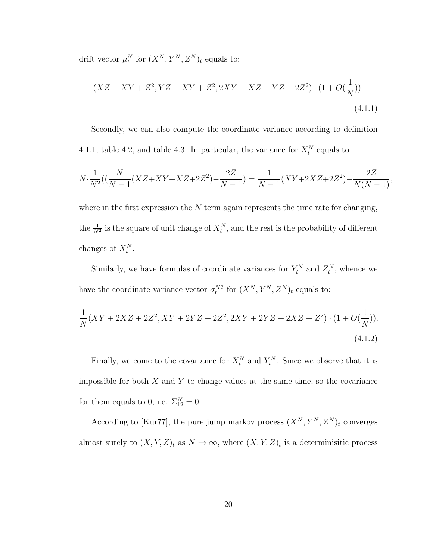drift vector  $\mu_t^N$  for  $(X^N, Y^N, Z^N)_t$  equals to:

$$
(XZ - XY + Z2, YZ - XY + Z2, 2XY - XZ - YZ - 2Z2) \cdot (1 + O(\frac{1}{N})).
$$
\n(4.1.1)

Secondly, we can also compute the coordinate variance according to definition 4.1.1, table 4.2, and table 4.3. In particular, the variance for  $X_t^N$  equals to

$$
N \cdot \frac{1}{N^2} \left( \left( \frac{N}{N-1} (XZ + XY + XZ + 2Z^2) - \frac{2Z}{N-1} \right) = \frac{1}{N-1} (XY + 2XZ + 2Z^2) - \frac{2Z}{N(N-1)},
$$

where in the first expression the  $N$  term again represents the time rate for changing, the  $\frac{1}{N^2}$  is the square of unit change of  $X_t^N$ , and the rest is the probability of different changes of  $X_t^N$ .

Similarly, we have formulas of coordinate variances for  $Y_t^N$  and  $Z_t^N$ , whence we have the coordinate variance vector  $\sigma_t^{N2}$  for  $(X^N, Y^N, Z^N)_t$  equals to:

$$
\frac{1}{N}(XY+2XZ+2Z^2, XY+2YZ+2Z^2, 2XY+2YZ+2XZ+Z^2) \cdot (1+O(\frac{1}{N})).
$$
\n(4.1.2)

Finally, we come to the covariance for  $X_t^N$  and  $Y_t^N$ . Since we observe that it is impossible for both  $X$  and  $Y$  to change values at the same time, so the covariance for them equals to 0, i.e.  $\Sigma_{12}^N = 0$ .

According to [Kur77], the pure jump markov process  $(X^N, Y^N, Z^N)_t$  converges almost surely to  $(X, Y, Z)_t$  as  $N \to \infty$ , where  $(X, Y, Z)_t$  is a determinisitic process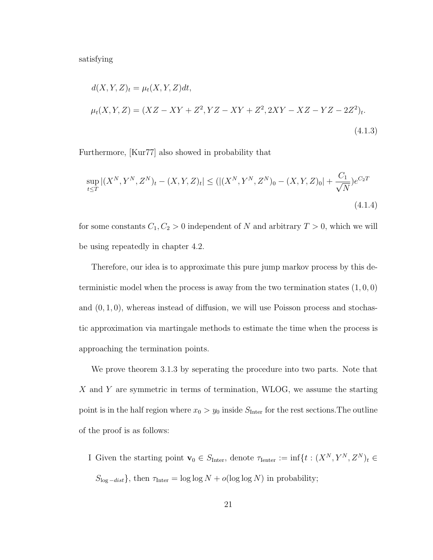satisfying

$$
d(X, Y, Z)_t = \mu_t(X, Y, Z)dt,
$$
  
\n
$$
\mu_t(X, Y, Z) = (XZ - XY + Z^2, YZ - XY + Z^2, 2XY - XZ - YZ - 2Z^2)_t.
$$
\n(4.1.3)

Furthermore, [Kur77] also showed in probability that

$$
\sup_{t \le T} |(X^N, Y^N, Z^N)_t - (X, Y, Z)_t| \le (|(X^N, Y^N, Z^N)_0 - (X, Y, Z)_0| + \frac{C_1}{\sqrt{N}})e^{C_2 T}
$$
\n(4.1.4)

for some constants  $C_1, C_2 > 0$  independent of N and arbitrary  $T > 0$ , which we will be using repeatedly in chapter 4.2.

Therefore, our idea is to approximate this pure jump markov process by this deterministic model when the process is away from the two termination states  $(1, 0, 0)$ and  $(0, 1, 0)$ , whereas instead of diffusion, we will use Poisson process and stochastic approximation via martingale methods to estimate the time when the process is approaching the termination points.

We prove theorem 3.1.3 by seperating the procedure into two parts. Note that X and Y are symmetric in terms of termination, WLOG, we assume the starting point is in the half region where  $x_0 > y_0$  inside  $S_{\text{Inter}}$  for the rest sections. The outline of the proof is as follows:

I Given the starting point  $\mathbf{v}_0 \in S_{\text{Inter}}$ , denote  $\tau_{\text{Ienter}} := \inf\{t : (X^N, Y^N, Z^N)_t \in$  $S_{\log -dist}$ , then  $\tau_{\text{Inter}} = \log \log N + o(\log \log N)$  in probability;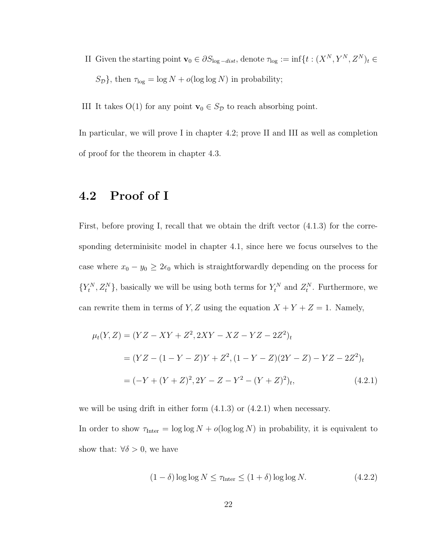II Given the starting point  $\mathbf{v}_0 \in \partial S_{\log - dist}$ , denote  $\tau_{\log} := \inf\{t : (X^N, Y^N, Z^N)_t \in$  $S_{\mathcal{D}}\}$ , then  $\tau_{\text{log}} = \log N + o(\log \log N)$  in probability;

III It takes O(1) for any point  $\mathbf{v}_0 \in S_{\mathcal{D}}$  to reach absorbing point.

In particular, we will prove I in chapter 4.2; prove II and III as well as completion of proof for the theorem in chapter 4.3.

#### 4.2 Proof of I

First, before proving I, recall that we obtain the drift vector (4.1.3) for the corresponding determinisitc model in chapter 4.1, since here we focus ourselves to the case where  $x_0 - y_0 \geq 2\epsilon_0$  which is straightforwardly depending on the process for  ${Y_t^N, Z_t^N}$ , basically we will be using both terms for  $Y_t^N$  and  $Z_t^N$ . Furthermore, we can rewrite them in terms of Y, Z using the equation  $X + Y + Z = 1$ . Namely,

$$
\mu_t(Y, Z) = (YZ - XY + Z^2, 2XY - XZ - YZ - 2Z^2)_t
$$
  
=  $(YZ - (1 - Y - Z)Y + Z^2, (1 - Y - Z)(2Y - Z) - YZ - 2Z^2)_t$   
=  $(-Y + (Y + Z)^2, 2Y - Z - Y^2 - (Y + Z)^2)_t,$  (4.2.1)

we will be using drift in either form  $(4.1.3)$  or  $(4.2.1)$  when necessary.

In order to show  $\tau_{\text{Inter}} = \log \log N + o(\log \log N)$  in probability, it is equivalent to show that:  $\forall \delta > 0$ , we have

$$
(1 - \delta) \log \log N \le \tau_{\text{Inter}} \le (1 + \delta) \log \log N. \tag{4.2.2}
$$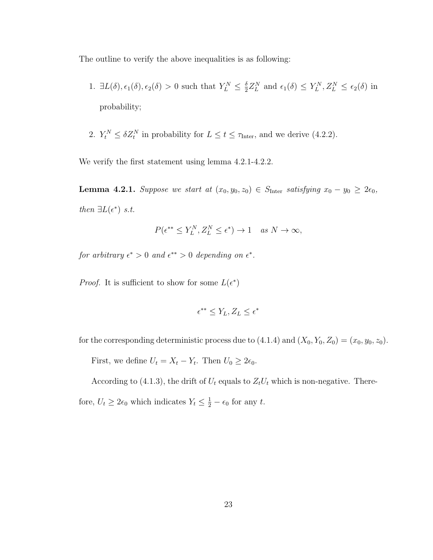The outline to verify the above inequalities is as following:

- 1.  $\exists L(\delta), \epsilon_1(\delta), \epsilon_2(\delta) > 0$  such that  $Y_L^N \leq \frac{\delta}{2}$  $\frac{\delta}{2}Z_L^N$  and  $\epsilon_1(\delta) \leq Y_L^N, Z_L^N \leq \epsilon_2(\delta)$  in probability;
- 2.  $Y_t^N \leq \delta Z_t^N$  in probability for  $L \leq t \leq \tau_{\text{Inter}}$ , and we derive (4.2.2).

We verify the first statement using lemma 4.2.1-4.2.2.

**Lemma 4.2.1.** Suppose we start at  $(x_0, y_0, z_0) \in S_{\text{Inter}}$  satisfying  $x_0 - y_0 \geq 2\epsilon_0$ , then  $\exists L(\epsilon^*)$  s.t.

$$
P(\epsilon^{**} \le Y_L^N, Z_L^N \le \epsilon^*) \to 1 \quad as \ N \to \infty,
$$

for arbitrary  $\epsilon^* > 0$  and  $\epsilon^{**} > 0$  depending on  $\epsilon^*$ .

*Proof.* It is sufficient to show for some  $L(\epsilon^*)$ 

$$
\epsilon^{**} \leq Y_L, Z_L \leq \epsilon^*
$$

for the corresponding deterministic process due to  $(4.1.4)$  and  $(X_0, Y_0, Z_0) = (x_0, y_0, z_0)$ .

First, we define  $U_t = X_t - Y_t$ . Then  $U_0 \geq 2\epsilon_0$ .

According to (4.1.3), the drift of  $U_t$  equals to  $Z_tU_t$  which is non-negative. There-

fore,  $U_t \geq 2\epsilon_0$  which indicates  $Y_t \leq \frac{1}{2} - \epsilon_0$  for any t.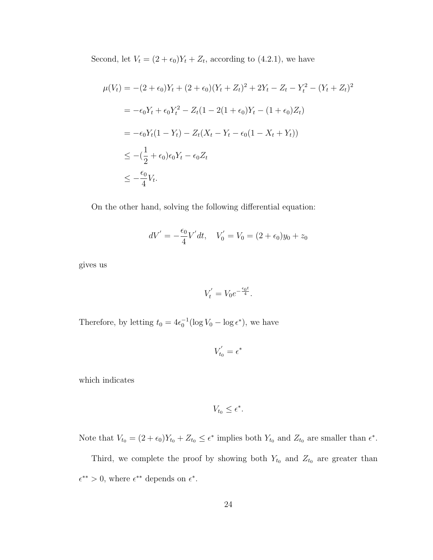Second, let  $V_t = (2 + \epsilon_0)Y_t + Z_t$ , according to (4.2.1), we have

$$
\mu(V_t) = -(2 + \epsilon_0)Y_t + (2 + \epsilon_0)(Y_t + Z_t)^2 + 2Y_t - Z_t - Y_t^2 - (Y_t + Z_t)^2
$$
  
=  $-\epsilon_0 Y_t + \epsilon_0 Y_t^2 - Z_t (1 - 2(1 + \epsilon_0)Y_t - (1 + \epsilon_0)Z_t)$   
=  $-\epsilon_0 Y_t (1 - Y_t) - Z_t (X_t - Y_t - \epsilon_0 (1 - X_t + Y_t))$   
 $\leq -(\frac{1}{2} + \epsilon_0) \epsilon_0 Y_t - \epsilon_0 Z_t$   
 $\leq -\frac{\epsilon_0}{4} V_t.$ 

On the other hand, solving the following differential equation:

$$
dV' = -\frac{\epsilon_0}{4}V'dt, \quad V'_0 = V_0 = (2 + \epsilon_0)y_0 + z_0
$$

gives us

$$
V_t' = V_0 e^{-\frac{\epsilon_0 t}{4}}.
$$

Therefore, by letting  $t_0 = 4\epsilon_0^{-1} (\log V_0 - \log \epsilon^*)$ , we have

$$
V_{t_0}' = \epsilon^*
$$

which indicates

 $V_{t_0} \leq \epsilon^*$ .

Note that  $V_{t_0} = (2 + \epsilon_0)Y_{t_0} + Z_{t_0} \leq \epsilon^*$  implies both  $Y_{t_0}$  and  $Z_{t_0}$  are smaller than  $\epsilon^*$ .

Third, we complete the proof by showing both  $Y_{t_0}$  and  $Z_{t_0}$  are greater than  $\epsilon^{**} > 0$ , where  $\epsilon^{**}$  depends on  $\epsilon^*$ .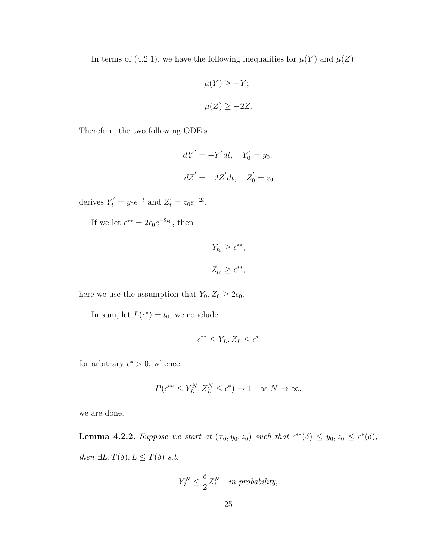In terms of (4.2.1), we have the following inequalities for  $\mu(Y)$  and  $\mu(Z)$ :

$$
\mu(Y) \ge -Y;
$$
  

$$
\mu(Z) \ge -2Z.
$$

Therefore, the two following ODE's

$$
dY' = -Y'dt, \quad Y'_0 = y_0;
$$
  

$$
dZ' = -2Z'dt, \quad Z'_0 = z_0
$$

derives  $Y'_t = y_0 e^{-t}$  and  $Z'_t = z_0 e^{-2t}$ .

If we let  $\epsilon^{**} = 2\epsilon_0 e^{-2t_0}$ , then

$$
Y_{t_0} \ge \epsilon^{**},
$$
  

$$
Z_{t_0} \ge \epsilon^{**},
$$

here we use the assumption that  $Y_0, Z_0 \geq 2\epsilon_0$ .

In sum, let  $L(\epsilon^*) = t_0$ , we conclude

$$
\epsilon^{**} \leq Y_L, Z_L \leq \epsilon^*
$$

for arbitrary  $\epsilon^* > 0$ , whence

$$
P(\epsilon^{**} \le Y_L^N, Z_L^N \le \epsilon^*) \to 1 \quad \text{as } N \to \infty,
$$

 $\Box$ 

we are done.

**Lemma 4.2.2.** Suppose we start at  $(x_0, y_0, z_0)$  such that  $\epsilon^{**}(\delta) \leq y_0, z_0 \leq \epsilon^{*}(\delta)$ , then  $\exists L, T(\delta), L \leq T(\delta)$  s.t.

$$
Y_L^N \le \frac{\delta}{2} Z_L^N \quad \text{in probability},
$$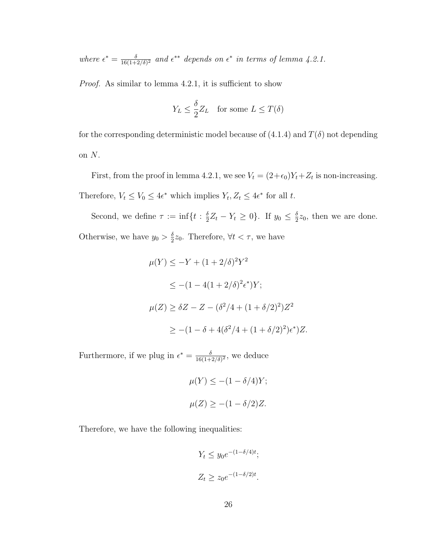where  $\epsilon^* = \frac{\delta}{16(1+1)}$  $\frac{\delta}{16(1+2/\delta)^2}$  and  $\epsilon^{**}$  depends on  $\epsilon^*$  in terms of lemma 4.2.1.

Proof. As similar to lemma 4.2.1, it is sufficient to show

$$
Y_L \le \frac{\delta}{2} Z_L \quad \text{for some } L \le T(\delta)
$$

for the corresponding deterministic model because of  $(4.1.4)$  and  $T(\delta)$  not depending on  $N$ .

First, from the proof in lemma 4.2.1, we see  $V_t = (2+\epsilon_0)Y_t + Z_t$  is non-increasing. Therefore,  $V_t \leq V_0 \leq 4\epsilon^*$  which implies  $Y_t, Z_t \leq 4\epsilon^*$  for all t.

Second, we define  $\tau := \inf\{t : \frac{\delta}{2}\}$  $\frac{\delta}{2}Z_t - Y_t \geq 0$ . If  $y_0 \leq \frac{\delta}{2}$  $\frac{\delta}{2}z_0$ , then we are done. Otherwise, we have  $y_0 > \frac{\delta}{2}$  $\frac{\delta}{2}z_0$ . Therefore,  $\forall t < \tau$ , we have

$$
\mu(Y) \le -Y + (1 + 2/\delta)^2 Y^2
$$
  
\n
$$
\le -(1 - 4(1 + 2/\delta)^2 \epsilon^*)Y;
$$
  
\n
$$
\mu(Z) \ge \delta Z - Z - (\delta^2/4 + (1 + \delta/2)^2)Z^2
$$
  
\n
$$
\ge -(1 - \delta + 4(\delta^2/4 + (1 + \delta/2)^2)\epsilon^*)Z.
$$

Furthermore, if we plug in  $\epsilon^* = \frac{\delta}{16(1+1)}$  $\frac{\delta}{16(1+2/\delta)^2}$ , we deduce

$$
\mu(Y) \le -(1 - \delta/4)Y;
$$
  

$$
\mu(Z) \ge -(1 - \delta/2)Z.
$$

Therefore, we have the following inequalities:

$$
Y_t \le y_0 e^{-(1-\delta/4)t};
$$
  

$$
Z_t \ge z_0 e^{-(1-\delta/2)t}.
$$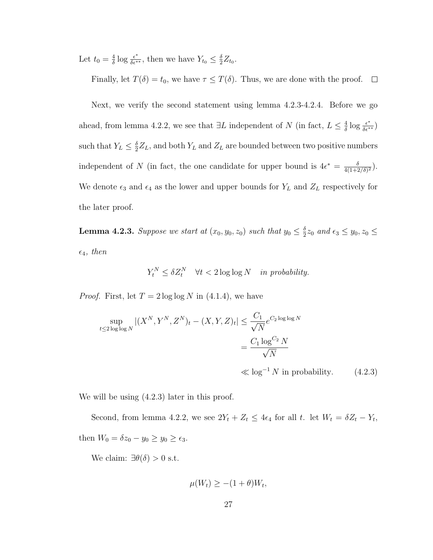Let  $t_0 = \frac{4}{\delta}$  $\frac{4}{\delta} \log \frac{\epsilon^*}{\delta \epsilon^{**}}$ , then we have  $Y_{t_0} \leq \frac{\delta}{2}$  $\frac{\delta}{2}Z_{t_0}$ .

Finally, let  $T(\delta) = t_0$ , we have  $\tau \leq T(\delta)$ . Thus, we are done with the proof.  $\Box$ 

Next, we verify the second statement using lemma 4.2.3-4.2.4. Before we go ahead, from lemma 4.2.2, we see that  $\exists L$  independent of N (in fact,  $L \leq \frac{4}{\delta}$  $\frac{4}{\delta}\log\frac{\epsilon^*}{\delta\epsilon^{**}}$ such that  $Y_L \leq \frac{\delta}{2}$  $\frac{\delta}{2}Z_L$ , and both  $Y_L$  and  $Z_L$  are bounded between two positive numbers independent of N (in fact, the one candidate for upper bound is  $4\epsilon^* = \frac{\delta}{4(1+\epsilon)}$  $\frac{\delta}{4(1+2/\delta)^2}$ ). We denote  $\epsilon_3$  and  $\epsilon_4$  as the lower and upper bounds for  $Y_L$  and  $Z_L$  respectively for the later proof.

**Lemma 4.2.3.** Suppose we start at  $(x_0, y_0, z_0)$  such that  $y_0 \leq \frac{\delta}{2}$  $\frac{\delta}{2}z_0$  and  $\epsilon_3 \leq y_0, z_0 \leq$  $\epsilon_4$ , then

$$
Y_t^N \le \delta Z_t^N \quad \forall t < 2 \log \log N \quad \text{in probability.}
$$

*Proof.* First, let  $T = 2 \log \log N$  in (4.1.4), we have

$$
\sup_{t \le 2\log\log N} |(X^N, Y^N, Z^N)_t - (X, Y, Z)_t| \le \frac{C_1}{\sqrt{N}} e^{C_2 \log\log N}
$$

$$
= \frac{C_1 \log^{C_2} N}{\sqrt{N}}
$$

$$
\ll \log^{-1} N \text{ in probability.} \qquad (4.2.3)
$$

We will be using (4.2.3) later in this proof.

Second, from lemma 4.2.2, we see  $2Y_t + Z_t \leq 4\epsilon_4$  for all t. let  $W_t = \delta Z_t - Y_t$ , then  $W_0 = \delta z_0 - y_0 \ge y_0 \ge \epsilon_3$ .

We claim:  $\exists \theta(\delta) > 0$  s.t.

$$
\mu(W_t) \ge -(1+\theta)W_t,
$$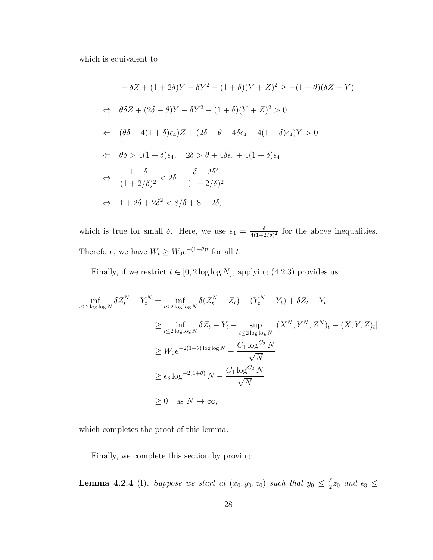which is equivalent to

$$
-\delta Z + (1+2\delta)Y - \delta Y^2 - (1+\delta)(Y+Z)^2 \ge -(1+\theta)(\delta Z - Y)
$$
  
\n
$$
\Leftrightarrow \theta \delta Z + (2\delta - \theta)Y - \delta Y^2 - (1+\delta)(Y+Z)^2 > 0
$$
  
\n
$$
\Leftrightarrow (\theta \delta - 4(1+\delta)\epsilon_4)Z + (2\delta - \theta - 4\delta\epsilon_4 - 4(1+\delta)\epsilon_4)Y > 0
$$
  
\n
$$
\Leftrightarrow \theta \delta > 4(1+\delta)\epsilon_4, \quad 2\delta > \theta + 4\delta\epsilon_4 + 4(1+\delta)\epsilon_4
$$
  
\n
$$
\Leftrightarrow \frac{1+\delta}{(1+2/\delta)^2} < 2\delta - \frac{\delta + 2\delta^2}{(1+2/\delta)^2}
$$
  
\n
$$
\Leftrightarrow 1 + 2\delta + 2\delta^2 < 8/\delta + 8 + 2\delta,
$$

which is true for small  $\delta$ . Here, we use  $\epsilon_4 = \frac{\delta}{4(1+\delta)}$  $\frac{\delta}{4(1+2/\delta)^2}$  for the above inequalities. Therefore, we have  $W_t \geq W_0 e^{-(1+\theta)t}$  for all t.

Finally, if we restrict  $t \in [0, 2 \log \log N]$ , applying (4.2.3) provides us:

$$
\inf_{t \le 2 \log \log N} \delta Z_t^N - Y_t^N = \inf_{t \le 2 \log \log N} \delta (Z_t^N - Z_t) - (Y_t^N - Y_t) + \delta Z_t - Y_t
$$
  
\n
$$
\ge \inf_{t \le 2 \log \log N} \delta Z_t - Y_t - \sup_{t \le 2 \log \log N} |(X^N, Y^N, Z^N)_t - (X, Y, Z)_t|
$$
  
\n
$$
\ge W_0 e^{-2(1+\theta) \log \log N} - \frac{C_1 \log^{C_2} N}{\sqrt{N}}
$$
  
\n
$$
\ge \epsilon_3 \log^{-2(1+\theta)} N - \frac{C_1 \log^{C_2} N}{\sqrt{N}}
$$
  
\n
$$
\ge 0 \text{ as } N \to \infty,
$$

which completes the proof of this lemma.

 $\Box$ 

Finally, we complete this section by proving:

**Lemma 4.2.4** (I). Suppose we start at  $(x_0, y_0, z_0)$  such that  $y_0 \leq \frac{\delta}{2}$  $\frac{\delta}{2}z_0$  and  $\epsilon_3 \leq$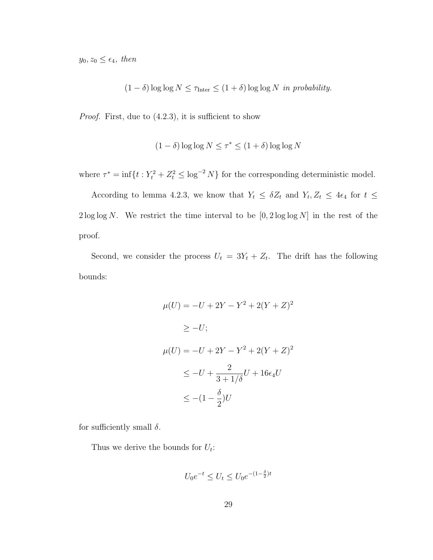$y_0, z_0 \leq \epsilon_4$ , then

 $(1 - \delta) \log \log N \le \tau_{\text{Inter}} \le (1 + \delta) \log \log N$  in probability.

*Proof.* First, due to  $(4.2.3)$ , it is sufficient to show

$$
(1 - \delta) \log \log N \le \tau^* \le (1 + \delta) \log \log N
$$

where  $\tau^* = \inf\{t : Y_t^2 + Z_t^2 \leq \log^{-2} N\}$  for the corresponding deterministic model.

According to lemma 4.2.3, we know that  $Y_t \leq \delta Z_t$  and  $Y_t, Z_t \leq 4\epsilon_4$  for  $t \leq$  $2 \log \log N$ . We restrict the time interval to be  $[0, 2 \log \log N]$  in the rest of the proof.

Second, we consider the process  $U_t = 3Y_t + Z_t$ . The drift has the following bounds:

$$
\mu(U) = -U + 2Y - Y^2 + 2(Y + Z)^2
$$
  
\n
$$
\geq -U;
$$
  
\n
$$
\mu(U) = -U + 2Y - Y^2 + 2(Y + Z)^2
$$
  
\n
$$
\leq -U + \frac{2}{3 + 1/\delta}U + 16\epsilon_4 U
$$
  
\n
$$
\leq -(1 - \frac{\delta}{2})U
$$

for sufficiently small  $\delta$ .

Thus we derive the bounds for  $U_t$ :

$$
U_0e^{-t}\leq U_t\leq U_0e^{-(1-\frac{\delta}{2})t}
$$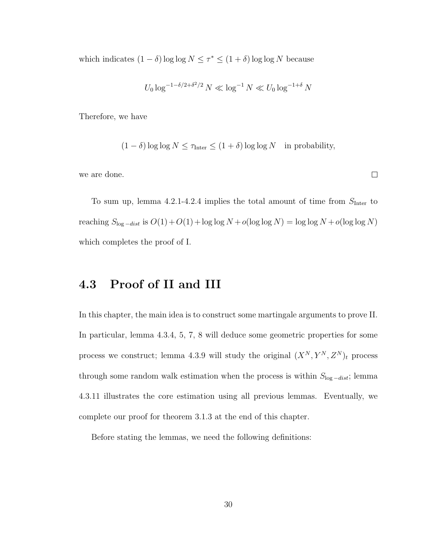which indicates  $(1 - \delta) \log \log N \leq \tau^* \leq (1 + \delta) \log \log N$  because

$$
U_0 \log^{-1-\delta/2+\delta^2/2} N \ll \log^{-1} N \ll U_0 \log^{-1+\delta} N
$$

Therefore, we have

$$
(1 - \delta) \log \log N \le \tau_{\text{Inter}} \le (1 + \delta) \log \log N \quad \text{in probability},
$$

we are done.

To sum up, lemma 4.2.1-4.2.4 implies the total amount of time from  $S_{\text{Inter}}$  to reaching  $S_{\log -dist}$  is  $O(1)+O(1)+\log \log N+o(\log \log N) = \log \log N+o(\log \log N)$ which completes the proof of I.

#### 4.3 Proof of II and III

In this chapter, the main idea is to construct some martingale arguments to prove II. In particular, lemma 4.3.4, 5, 7, 8 will deduce some geometric properties for some process we construct; lemma 4.3.9 will study the original  $(X^N, Y^N, Z^N)_t$  process through some random walk estimation when the process is within  $S_{\log -dist}$ ; lemma 4.3.11 illustrates the core estimation using all previous lemmas. Eventually, we complete our proof for theorem 3.1.3 at the end of this chapter.

Before stating the lemmas, we need the following definitions:

 $\Box$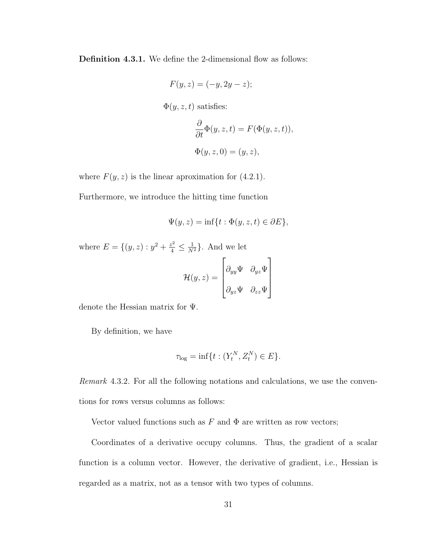Definition 4.3.1. We define the 2-dimensional flow as follows:

$$
F(y, z) = (-y, 2y - z);
$$
  
\n
$$
\Phi(y, z, t) \text{ satisfies:}
$$
  
\n
$$
\frac{\partial}{\partial t} \Phi(y, z, t) = F(\Phi(y, z, t)),
$$
  
\n
$$
\Phi(y, z, 0) = (y, z),
$$

where  $F(y, z)$  is the linear aproximation for (4.2.1).

Furthermore, we introduce the hitting time function

$$
\Psi(y, z) = \inf\{t : \Phi(y, z, t) \in \partial E\},\
$$

where  $E = \{(y, z) : y^2 + \frac{z^2}{4} \leq \frac{1}{N^2}\}\.$  And we let

$$
\mathcal{H}(y,z) = \begin{bmatrix} \partial_{yy} \Psi & \partial_{yz} \Psi \\ \partial_{yz} \Psi & \partial_{zz} \Psi \end{bmatrix}
$$

denote the Hessian matrix for Ψ.

By definition, we have

$$
\tau_{\log} = \inf\{t : (Y_t^N, Z_t^N) \in E\}.
$$

Remark 4.3.2. For all the following notations and calculations, we use the conventions for rows versus columns as follows:

Vector valued functions such as  $F$  and  $\Phi$  are written as row vectors;

Coordinates of a derivative occupy columns. Thus, the gradient of a scalar function is a column vector. However, the derivative of gradient, i.e., Hessian is regarded as a matrix, not as a tensor with two types of columns.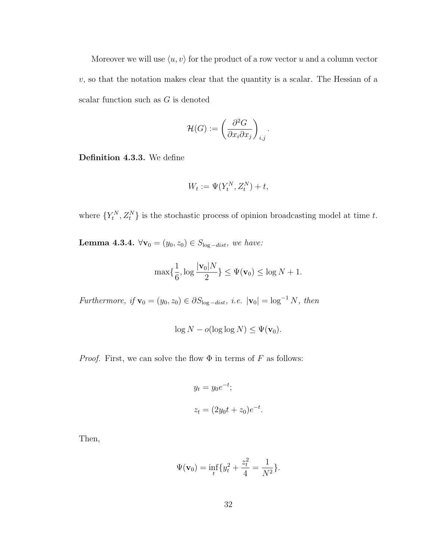Moreover we will use  $\langle u, v \rangle$  for the product of a row vector u and a column vector  $v$ , so that the notation makes clear that the quantity is a scalar. The Hessian of a scalar function such as  $G$  is denoted

$$
\mathcal{H}(G) := \left(\frac{\partial^2 G}{\partial x_i \partial x_j}\right)_{i,j}.
$$

Definition 4.3.3. We define

$$
W_t := \Psi(Y_t^N, Z_t^N) + t,
$$

where  $\{Y_t^N, Z_t^N\}$  is the stochastic process of opinion broadcasting model at time t.

Lemma 4.3.4.  $\forall$ **v**<sup>0</sup> = (y<sub>0</sub>, z<sub>0</sub>) ∈ S<sub>log-dist</sub>, we have:

$$
\max\{\frac{1}{6},\log\frac{|\mathbf{v}_0|N}{2}\} \leq \Psi(\mathbf{v}_0) \leq \log N + 1.
$$

Furthermore, if  $\mathbf{v}_0 = (y_0, z_0) \in \partial S_{\log - dist}$ , i.e.  $|\mathbf{v}_0| = \log^{-1} N$ , then

$$
\log N - o(\log \log N) \leq \Psi(\mathbf{v}_0).
$$

*Proof.* First, we can solve the flow  $\Phi$  in terms of F as follows:

$$
y_t = y_0 e^{-t};
$$
  

$$
z_t = (2y_0 t + z_0)e^{-t}.
$$

Then,

$$
\Psi(\mathbf{v}_0) = \inf_t \{ y_t^2 + \frac{z_t^2}{4} = \frac{1}{N^2} \}.
$$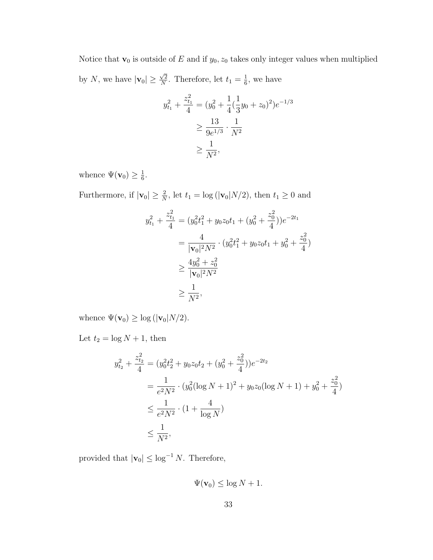Notice that  $\mathbf{v}_0$  is outside of E and if  $y_0, z_0$  takes only integer values when multiplied by N, we have  $|\mathbf{v}_0| \ge$  $\sqrt{2}$  $\frac{\sqrt{2}}{N}$ . Therefore, let  $t_1 = \frac{1}{6}$  $\frac{1}{6}$ , we have

$$
y_{t_1}^2 + \frac{z_{t_1}^2}{4} = (y_0^2 + \frac{1}{4}(\frac{1}{3}y_0 + z_0)^2)e^{-1/3}
$$
  
\n
$$
\geq \frac{13}{9e^{1/3}} \cdot \frac{1}{N^2}
$$
  
\n
$$
\geq \frac{1}{N^2},
$$

whence  $\Psi(\mathbf{v}_0) \geq \frac{1}{6}$  $\frac{1}{6}$ .

Furthermore, if  $|\mathbf{v}_0| \geq \frac{2}{N}$ , let  $t_1 = \log(|\mathbf{v}_0| N/2)$ , then  $t_1 \geq 0$  and

$$
y_{t_1}^2 + \frac{z_{t_1}^2}{4} = (y_0^2 t_1^2 + y_0 z_0 t_1 + (y_0^2 + \frac{z_0^2}{4}))e^{-2t_1}
$$
  
= 
$$
\frac{4}{|\mathbf{v}_0|^2 N^2} \cdot (y_0^2 t_1^2 + y_0 z_0 t_1 + y_0^2 + \frac{z_0^2}{4})
$$
  

$$
\geq \frac{4y_0^2 + z_0^2}{|\mathbf{v}_0|^2 N^2}
$$
  

$$
\geq \frac{1}{N^2},
$$

whence  $\Psi(\mathbf{v}_0) \ge \log(|\mathbf{v}_0|N/2)$ .

Let  $t_2 = \log N + 1$ , then

$$
y_{t_2}^2 + \frac{z_{t_2}^2}{4} = (y_0^2 t_2^2 + y_0 z_0 t_2 + (y_0^2 + \frac{z_0^2}{4}))e^{-2t_2}
$$
  
= 
$$
\frac{1}{e^2 N^2} \cdot (y_0^2 (\log N + 1)^2 + y_0 z_0 (\log N + 1) + y_0^2 + \frac{z_0^2}{4})
$$
  

$$
\leq \frac{1}{e^2 N^2} \cdot (1 + \frac{4}{\log N})
$$
  

$$
\leq \frac{1}{N^2},
$$

provided that  $|\mathbf{v}_0| \leq \log^{-1} N$ . Therefore,

$$
\Psi(\mathbf{v}_0) \le \log N + 1.
$$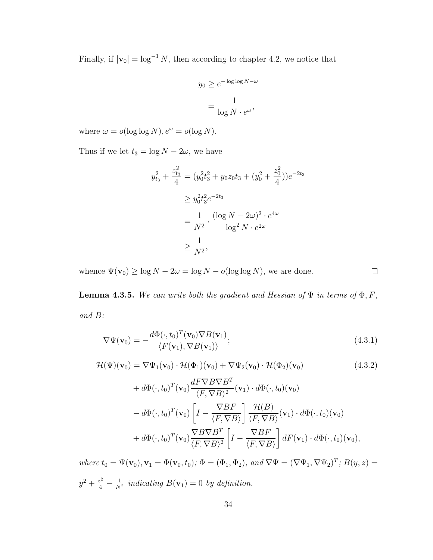Finally, if  $|\mathbf{v}_0| = \log^{-1} N$ , then according to chapter 4.2, we notice that

$$
y_0 \ge e^{-\log \log N - \omega}
$$

$$
= \frac{1}{\log N \cdot e^{\omega}},
$$

where  $\omega = o(\log \log N), e^{\omega} = o(\log N)$ .

Thus if we let  $t_3 = \log N - 2\omega$ , we have

$$
y_{t_3}^2 + \frac{z_{t_3}^2}{4} = (y_0^2 t_3^2 + y_0 z_0 t_3 + (y_0^2 + \frac{z_0^2}{4}))e^{-2t_3}
$$
  
\n
$$
\geq y_0^2 t_3^2 e^{-2t_3}
$$
  
\n
$$
= \frac{1}{N^2} \cdot \frac{(\log N - 2\omega)^2 \cdot e^{4\omega}}{\log^2 N \cdot e^{2\omega}}
$$
  
\n
$$
\geq \frac{1}{N^2},
$$

whence  $\Psi(\mathbf{v}_0) \ge \log N - 2\omega = \log N - o(\log \log N)$ , we are done.

**Lemma 4.3.5.** We can write both the gradient and Hessian of  $\Psi$  in terms of  $\Phi$ , F, and B:

$$
\nabla \Psi(\mathbf{v}_0) = -\frac{d\Phi(\cdot, t_0)^T(\mathbf{v}_0)\nabla B(\mathbf{v}_1)}{\langle F(\mathbf{v}_1), \nabla B(\mathbf{v}_1) \rangle};
$$
\n(4.3.1)

 $\Box$ 

$$
\mathcal{H}(\Psi)(\mathbf{v}_0) = \nabla \Psi_1(\mathbf{v}_0) \cdot \mathcal{H}(\Phi_1)(\mathbf{v}_0) + \nabla \Psi_2(\mathbf{v}_0) \cdot \mathcal{H}(\Phi_2)(\mathbf{v}_0)
$$
(4.3.2)

+
$$
d\Phi(\cdot, t_0)^T(\mathbf{v}_0) \frac{dF\nabla B\nabla B^T}{\langle F, \nabla B \rangle^2}(\mathbf{v}_1) \cdot d\Phi(\cdot, t_0)(\mathbf{v}_0)
$$
  
\n- $d\Phi(\cdot, t_0)^T(\mathbf{v}_0) \left[ I - \frac{\nabla BF}{\langle F, \nabla B \rangle} \right] \frac{\mathcal{H}(B)}{\langle F, \nabla B \rangle}(\mathbf{v}_1) \cdot d\Phi(\cdot, t_0)(\mathbf{v}_0)$   
\n+ $d\Phi(\cdot, t_0)^T(\mathbf{v}_0) \frac{\nabla B\nabla B^T}{\langle F, \nabla B \rangle^2} \left[ I - \frac{\nabla BF}{\langle F, \nabla B \rangle} \right] dF(\mathbf{v}_1) \cdot d\Phi(\cdot, t_0)(\mathbf{v}_0),$ 

where  $t_0 = \Psi(\mathbf{v}_0), \mathbf{v}_1 = \Phi(\mathbf{v}_0, t_0); \Phi = (\Phi_1, \Phi_2), \text{ and } \nabla \Psi = (\nabla \Psi_1, \nabla \Psi_2)^T$ ;  $B(y, z) =$  $y^2 + \frac{z^2}{4} - \frac{1}{N}$  $\frac{1}{N^2}$  indicating  $B(\mathbf{v}_1) = 0$  by definition.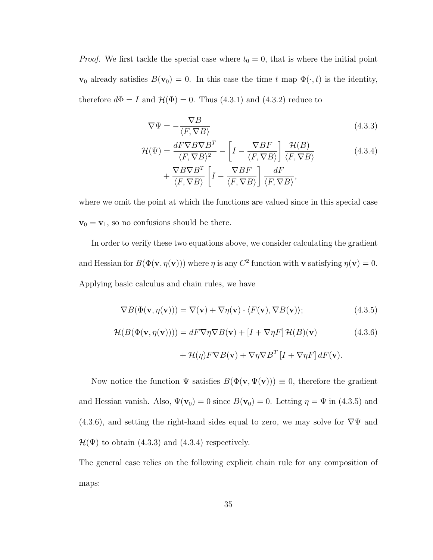*Proof.* We first tackle the special case where  $t_0 = 0$ , that is where the initial point  $\mathbf{v}_0$  already satisfies  $B(\mathbf{v}_0) = 0$ . In this case the time t map  $\Phi(\cdot, t)$  is the identity, therefore  $d\Phi = I$  and  $\mathcal{H}(\Phi) = 0$ . Thus (4.3.1) and (4.3.2) reduce to

$$
\nabla \Psi = -\frac{\nabla B}{\langle F, \nabla B \rangle} \tag{4.3.3}
$$

$$
\mathcal{H}(\Psi) = \frac{dF \nabla B \nabla B^T}{\langle F, \nabla B \rangle^2} - \left[ I - \frac{\nabla BF}{\langle F, \nabla B \rangle} \right] \frac{\mathcal{H}(B)}{\langle F, \nabla B \rangle} \n+ \frac{\nabla B \nabla B^T}{\langle F, \nabla B \rangle} \left[ I - \frac{\nabla BF}{\langle F, \nabla B \rangle} \right] \frac{dF}{\langle F, \nabla B \rangle},
$$
\n(4.3.4)

where we omit the point at which the functions are valued since in this special case  $\mathbf{v}_0 = \mathbf{v}_1$ , so no confusions should be there.

In order to verify these two equations above, we consider calculating the gradient and Hessian for  $B(\Phi(\mathbf{v}, \eta(\mathbf{v})))$  where  $\eta$  is any  $C^2$  function with **v** satisfying  $\eta(\mathbf{v}) = 0$ . Applying basic calculus and chain rules, we have

$$
\nabla B(\Phi(\mathbf{v}, \eta(\mathbf{v}))) = \nabla(\mathbf{v}) + \nabla \eta(\mathbf{v}) \cdot \langle F(\mathbf{v}), \nabla B(\mathbf{v}) \rangle; \tag{4.3.5}
$$

$$
\mathcal{H}(B(\Phi(\mathbf{v},\eta(\mathbf{v})))) = dF \nabla \eta \nabla B(\mathbf{v}) + [I + \nabla \eta F] \mathcal{H}(B)(\mathbf{v})
$$
(4.3.6)  
+ 
$$
\mathcal{H}(\eta) F \nabla B(\mathbf{v}) + \nabla \eta \nabla B^{T} [I + \nabla \eta F] dF(\mathbf{v}).
$$

Now notice the function  $\Psi$  satisfies  $B(\Phi(\mathbf{v}, \Psi(\mathbf{v}))) \equiv 0$ , therefore the gradient and Hessian vanish. Also,  $\Psi(\mathbf{v}_0) = 0$  since  $B(\mathbf{v}_0) = 0$ . Letting  $\eta = \Psi$  in (4.3.5) and  $(4.3.6)$ , and setting the right-hand sides equal to zero, we may solve for  $\nabla\Psi$  and  $\mathcal{H}(\Psi)$  to obtain (4.3.3) and (4.3.4) respectively.

The general case relies on the following explicit chain rule for any composition of maps: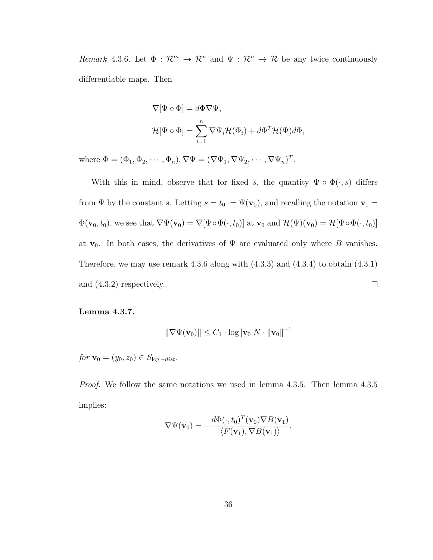Remark 4.3.6. Let  $\Phi : \mathcal{R}^m \to \mathcal{R}^n$  and  $\Psi : \mathcal{R}^n \to \mathcal{R}$  be any twice continuously differentiable maps. Then

$$
\nabla[\Psi \circ \Phi] = d\Phi \nabla \Psi,
$$
  

$$
\mathcal{H}[\Psi \circ \Phi] = \sum_{i=1}^{n} \nabla \Psi_{i} \mathcal{H}(\Phi_{i}) + d\Phi^{T} \mathcal{H}(\Psi) d\Phi,
$$

where  $\Phi = (\Phi_1, \Phi_2, \cdots, \Phi_n), \nabla \Psi = (\nabla \Psi_1, \nabla \Psi_2, \cdots, \nabla \Psi_n)^T$ .

With this in mind, observe that for fixed s, the quantity  $\Psi \circ \Phi(\cdot, s)$  differs from  $\Psi$  by the constant s. Letting  $s = t_0 := \Psi(\mathbf{v}_0)$ , and recalling the notation  $\mathbf{v}_1 =$  $\Phi(\mathbf{v}_0, t_0)$ , we see that  $\nabla \Psi(\mathbf{v}_0) = \nabla[\Psi \circ \Phi(\cdot, t_0)]$  at  $\mathbf{v}_0$  and  $\mathcal{H}(\Psi)(\mathbf{v}_0) = \mathcal{H}[\Psi \circ \Phi(\cdot, t_0)]$ at  $\mathbf{v}_0$ . In both cases, the derivatives of  $\Psi$  are evaluated only where B vanishes. Therefore, we may use remark  $4.3.6$  along with  $(4.3.3)$  and  $(4.3.4)$  to obtain  $(4.3.1)$ and (4.3.2) respectively.  $\Box$ 

Lemma 4.3.7.

$$
\|\nabla\Psi(\mathbf{v}_0)\| \le C_1 \cdot \log |\mathbf{v}_0| N \cdot \|\mathbf{v}_0\|^{-1}
$$

 $for \mathbf{v}_0 = (y_0, z_0) \in S_{\log - dist}.$ 

Proof. We follow the same notations we used in lemma 4.3.5. Then lemma 4.3.5 implies:

$$
\nabla \Psi(\mathbf{v}_0) = -\frac{d\Phi(\cdot, t_0)^T(\mathbf{v}_0)\nabla B(\mathbf{v}_1)}{\langle F(\mathbf{v}_1), \nabla B(\mathbf{v}_1)\rangle}.
$$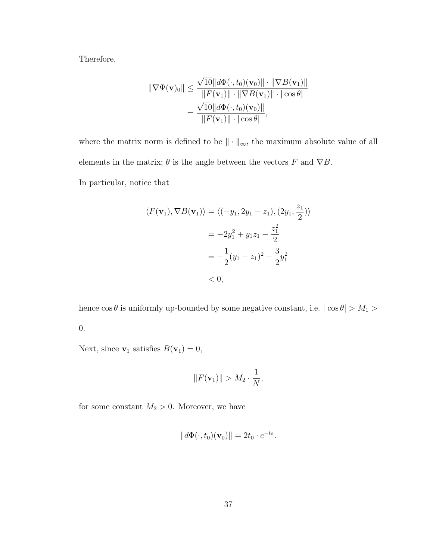Therefore,

$$
\|\nabla\Psi(\mathbf{v})_0\| \leq \frac{\sqrt{10} \|d\Phi(\cdot, t_0)(\mathbf{v}_0)\| \cdot \|\nabla B(\mathbf{v}_1)\|}{\|F(\mathbf{v}_1)\| \cdot \|\nabla B(\mathbf{v}_1)\| \cdot |\cos\theta|}
$$

$$
= \frac{\sqrt{10} \|d\Phi(\cdot, t_0)(\mathbf{v}_0)\|}{\|F(\mathbf{v}_1)\| \cdot |\cos\theta|},
$$

where the matrix norm is defined to be  $\|\cdot\|_\infty,$  the maximum absolute value of all elements in the matrix;  $\theta$  is the angle between the vectors F and  $\nabla B$ . In particular, notice that

$$
\langle F(\mathbf{v}_1), \nabla B(\mathbf{v}_1) \rangle = \langle (-y_1, 2y_1 - z_1), (2y_1, \frac{z_1}{2}) \rangle
$$
  
=  $-2y_1^2 + y_1 z_1 - \frac{z_1^2}{2}$   
=  $-\frac{1}{2}(y_1 - z_1)^2 - \frac{3}{2}y_1^2$   
< 0,

hence  $\cos\theta$  is uniformly up-bounded by some negative constant, i.e.  $|\cos\theta|>M_1>$ 0.

Next, since  $\mathbf{v}_1$  satisfies  $B(\mathbf{v}_1) = 0$ ,

$$
||F(\mathbf{v}_1)|| > M_2 \cdot \frac{1}{N},
$$

for some constant  $M_2 > 0$ . Moreover, we have

$$
||d\Phi(\cdot,t_0)(\mathbf{v}_0)|| = 2t_0 \cdot e^{-t_0}.
$$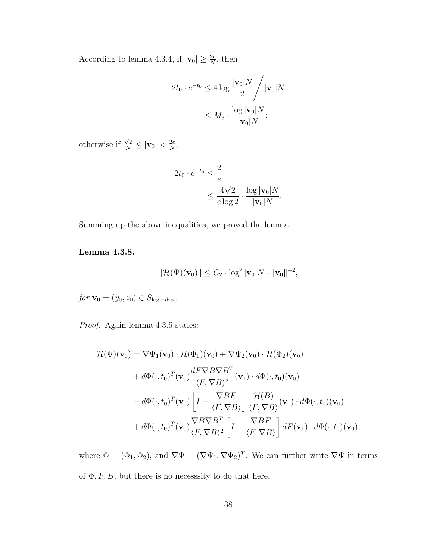According to lemma 4.3.4, if  $|\mathbf{v}_0| \geq \frac{2e}{N}$ , then

$$
2t_0 \cdot e^{-t_0} \le 4 \log \frac{|\mathbf{v}_0| N}{2} / |\mathbf{v}_0| N
$$

$$
\le M_3 \cdot \frac{\log |\mathbf{v}_0| N}{|\mathbf{v}_0| N};
$$

otherwise if  $\frac{\sqrt{2}}{N} \leq |\mathbf{v}_0| < \frac{2e}{N}$  $\frac{2e}{N},$ 

$$
2t_0 \cdot e^{-t_0} \le \frac{2}{e}
$$
  

$$
\le \frac{4\sqrt{2}}{e \log 2} \cdot \frac{\log |\mathbf{v}_0| N}{|\mathbf{v}_0| N}.
$$

Summing up the above inequalities, we proved the lemma.

Lemma 4.3.8.

$$
\|\mathcal{H}(\Psi)(\mathbf{v}_0)\| \leq C_2 \cdot \log^2 |\mathbf{v}_0| N \cdot \|\mathbf{v}_0\|^{-2},
$$

for  $\mathbf{v}_0 = (y_0, z_0) \in S_{\log - dist}$ .

Proof. Again lemma 4.3.5 states:

$$
\mathcal{H}(\Psi)(\mathbf{v}_0) = \nabla \Psi_1(\mathbf{v}_0) \cdot \mathcal{H}(\Phi_1)(\mathbf{v}_0) + \nabla \Psi_2(\mathbf{v}_0) \cdot \mathcal{H}(\Phi_2)(\mathbf{v}_0)
$$
\n
$$
+ d\Phi(:, t_0)^T(\mathbf{v}_0) \frac{dF \nabla B \nabla B^T}{\langle F, \nabla B \rangle^2}(\mathbf{v}_1) \cdot d\Phi(:, t_0)(\mathbf{v}_0)
$$
\n
$$
- d\Phi(:, t_0)^T(\mathbf{v}_0) \left[ I - \frac{\nabla B F}{\langle F, \nabla B \rangle} \right] \frac{\mathcal{H}(B)}{\langle F, \nabla B \rangle}(\mathbf{v}_1) \cdot d\Phi(:, t_0)(\mathbf{v}_0)
$$
\n
$$
+ d\Phi(:, t_0)^T(\mathbf{v}_0) \frac{\nabla B \nabla B^T}{\langle F, \nabla B \rangle^2} \left[ I - \frac{\nabla B F}{\langle F, \nabla B \rangle} \right] dF(\mathbf{v}_1) \cdot d\Phi(:, t_0)(\mathbf{v}_0),
$$

where  $\Phi = (\Phi_1, \Phi_2)$ , and  $\nabla \Psi = (\nabla \Psi_1, \nabla \Psi_2)^T$ . We can further write  $\nabla \Psi$  in terms of  $\Phi$ , F, B, but there is no necesssity to do that here.

 $\Box$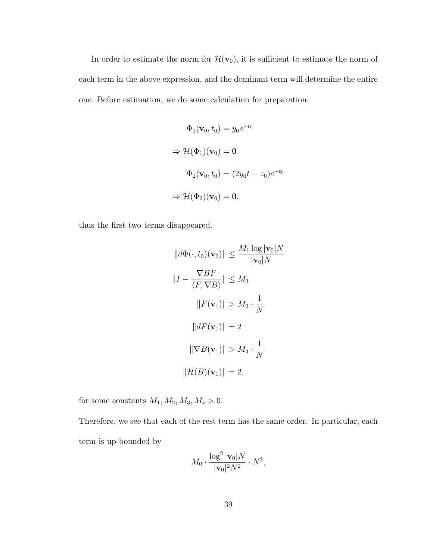In order to estimate the norm for  $\mathcal{H}(\mathbf{v}_0)$ , it is sufficient to estimate the norm of each term in the above expression, and the dominant term will determine the entire one. Before estimation, we do some calculation for preparation:

$$
\Phi_1(\mathbf{v}_0, t_0) = y_0 e^{-t_0}
$$
\n
$$
\Rightarrow \mathcal{H}(\Phi_1)(\mathbf{v}_0) = \mathbf{0}
$$
\n
$$
\Phi_2(\mathbf{v}_0, t_0) = (2y_0 t - z_0) e^{-t_0}
$$
\n
$$
\Rightarrow \mathcal{H}(\Phi_2)(\mathbf{v}_0) = \mathbf{0},
$$

thus the first two terms disappeared.

$$
||d\Phi(\cdot, t_0)(\mathbf{v}_0)|| \le \frac{M_1 \log |\mathbf{v}_0| N}{|\mathbf{v}_0| N}
$$

$$
||I - \frac{\nabla BF}{\langle F, \nabla B \rangle}|| \le M_3
$$

$$
||F(\mathbf{v}_1)|| > M_2 \cdot \frac{1}{N}
$$

$$
||dF(\mathbf{v}_1)|| = 2
$$

$$
||\nabla B(\mathbf{v}_1)|| > M_4 \cdot \frac{1}{N}
$$

$$
||\mathcal{H}(B)(\mathbf{v}_1)|| = 2,
$$

for some constants  $M_1, M_2, M_3, M_4 > 0$ .

Therefore, we see that each of the rest term has the same order. In particular, each term is up-bounded by

$$
M_0 \cdot \frac{\log^2 |\mathbf{v}_0| N}{|\mathbf{v}_0|^2 N^2} \cdot N^2,
$$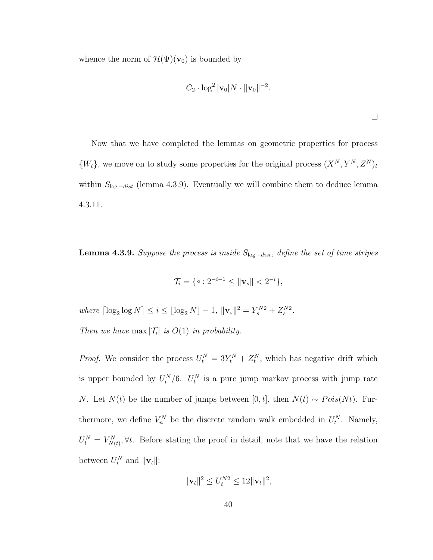whence the norm of  $\mathcal{H}(\Psi)(\mathbf{v}_0)$  is bounded by

$$
C_2 \cdot \log^2 |\mathbf{v}_0| N \cdot ||\mathbf{v}_0||^{-2}.
$$

Now that we have completed the lemmas on geometric properties for process  $\{W_t\}$ , we move on to study some properties for the original process  $(X^N, Y^N, Z^N)_t$ within  $S_{\log -dist}$  (lemma 4.3.9). Eventually we will combine them to deduce lemma 4.3.11.

**Lemma 4.3.9.** Suppose the process is inside  $S_{\log -dist}$ , define the set of time stripes

$$
\mathcal{T}_i = \{ s : 2^{-i-1} \le ||\mathbf{v}_s|| < 2^{-i} \},\
$$

where  $\lceil \log_2 \log N \rceil \le i \le \lfloor \log_2 N \rfloor - 1$ ,  $\|\mathbf{v}_s\|^2 = Y_s^{N2} + Z_s^{N2}$ . Then we have  $\max |\mathcal{T}_i|$  is  $O(1)$  in probability.

*Proof.* We consider the process  $U_t^N = 3Y_t^N + Z_t^N$ , which has negative drift which is upper bounded by  $U_t^N/6$ .  $U_t^N$  is a pure jump markov process with jump rate N. Let  $N(t)$  be the number of jumps between [0, t], then  $N(t) \sim Pois(Nt)$ . Furthermore, we define  $V_n^N$  be the discrete random walk embedded in  $U_t^N$ . Namely,  $U_t^N = V_{N(t)}^N, \forall t$ . Before stating the proof in detail, note that we have the relation between  $U_t^N$  and  $||\mathbf{v}_t||$ :

$$
\|\mathbf{v}_t\|^2 \le U_t^{N2} \le 12 \|\mathbf{v}_t\|^2,
$$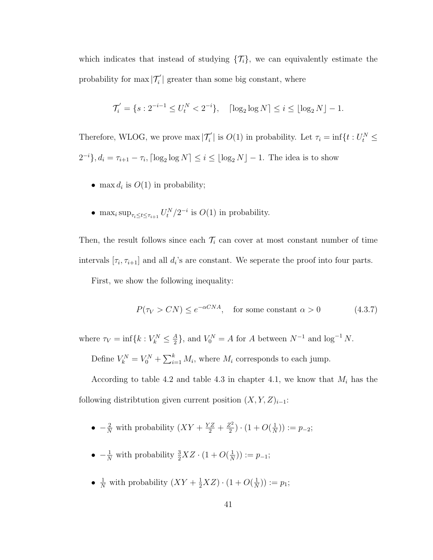which indicates that instead of studying  $\{\mathcal{T}_i\}$ , we can equivalently estimate the probability for  $\max |\mathcal{T}'_i|$  greater than some big constant, where

$$
\mathcal{T}'_i = \{ s : 2^{-i-1} \le U_t^N < 2^{-i} \}, \quad \lceil \log_2 \log N \rceil \le i \le \lfloor \log_2 N \rfloor - 1.
$$

Therefore, WLOG, we prove  $\max |\mathcal{T}'_i|$  is  $O(1)$  in probability. Let  $\tau_i = \inf \{ t : U_t^N \leq$  $2^{-i}$ ,  $d_i = \tau_{i+1} - \tau_i$ ,  $\lceil \log_2 \log N \rceil \leq i \leq \lfloor \log_2 N \rfloor - 1$ . The idea is to show

- max  $d_i$  is  $O(1)$  in probability;
- max<sub>i</sub> sup<sub> $\tau_i \le t \le \tau_{i+1} U_t^N / 2^{-i}$  is  $O(1)$  in probability.</sub>

Then, the result follows since each  $\mathcal{T}_i$  can cover at most constant number of time intervals  $[\tau_i, \tau_{i+1}]$  and all  $d_i$ 's are constant. We seperate the proof into four parts.

First, we show the following inequality:

$$
P(\tau_V > CN) \le e^{-\alpha CNA}, \quad \text{for some constant } \alpha > 0 \tag{4.3.7}
$$

where  $\tau_V = \inf\{k : V_k^N \leq \frac{A}{2}\}$  $\frac{A}{2}$ , and  $V_0^N = A$  for A between  $N^{-1}$  and  $\log^{-1} N$ .

Define  $V_k^N = V_0^N + \sum_{i=1}^k M_i$ , where  $M_i$  corresponds to each jump.

According to table 4.2 and table 4.3 in chapter 4.1, we know that  $M_i$  has the following distribtution given current position  $(X, Y, Z)_{i-1}$ :

- $-\frac{2}{N}$  with probability  $(XY + \frac{YZ}{2} + \frac{Z^2}{2})$  $(\frac{Z^2}{2}) \cdot (1 + O(\frac{1}{N}))$  $(\frac{1}{N})$ ) :=  $p_{-2}$ ;
- $-\frac{1}{N}$  with probability  $\frac{3}{2}XZ \cdot (1 + O(\frac{1}{N}))$  $(\frac{1}{N})$ ) :=  $p_{-1}$ ;
- $\frac{1}{N}$  with probability  $(XY + \frac{1}{2}XZ) \cdot (1 + O(\frac{1}{N}))$  $(\frac{1}{N})$ ) :=  $p_1$ ;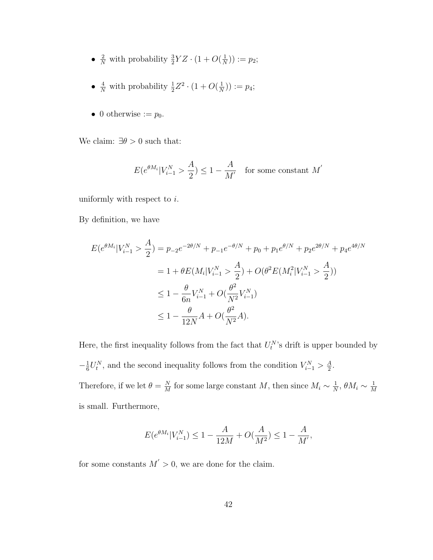- $\frac{2}{N}$  with probability  $\frac{3}{2}YZ \cdot (1 + O(\frac{1}{N}))$  $(\frac{1}{N})$   $:= p_2;$
- $\frac{4}{N}$  with probability  $\frac{1}{2}Z^2 \cdot (1 + O(\frac{1}{N}))$  $(\frac{1}{N})$   $:= p_4;$
- 0 otherwise  $:= p_0$ .

We claim:  $\exists \theta > 0$  such that:

$$
E(e^{\theta M_i}|V_{i-1}^N > \frac{A}{2}) \le 1 - \frac{A}{M'} \quad \text{for some constant } M'
$$

uniformly with respect to  $i$ .

By definition, we have

$$
E(e^{\theta M_i}|V_{i-1}^N > \frac{A}{2}) = p_{-2}e^{-2\theta/N} + p_{-1}e^{-\theta/N} + p_0 + p_1e^{\theta/N} + p_2e^{2\theta/N} + p_4e^{4\theta/N}
$$
  
=  $1 + \theta E(M_i|V_{i-1}^N > \frac{A}{2}) + O(\theta^2 E(M_i^2|V_{i-1}^N > \frac{A}{2}))$   
 $\leq 1 - \frac{\theta}{6n}V_{i-1}^N + O(\frac{\theta^2}{N^2}V_{i-1}^N)$   
 $\leq 1 - \frac{\theta}{12N}A + O(\frac{\theta^2}{N^2}A).$ 

Here, the first inequality follows from the fact that  $U_t^N$ 's drift is upper bounded by  $-\frac{1}{6}$  $\frac{1}{6}U_t^N$ , and the second inequality follows from the condition  $V_{i-1}^N > \frac{A}{2}$  $\frac{A}{2}$ . Therefore, if we let  $\theta = \frac{N}{M}$  $\frac{N}{M}$  for some large constant M, then since  $M_i \sim \frac{1}{N}$  $\frac{1}{N}, \theta M_i \sim \frac{1}{M}$ M is small. Furthermore,

$$
E(e^{\theta M_i}|V_{i-1}^N) \le 1 - \frac{A}{12M} + O(\frac{A}{M^2}) \le 1 - \frac{A}{M'},
$$

for some constants  $M' > 0$ , we are done for the claim.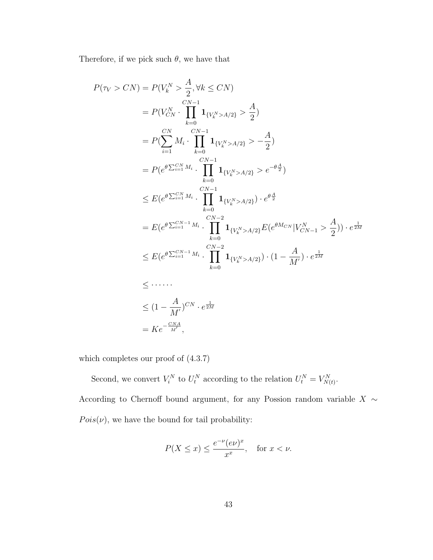Therefore, if we pick such  $\theta$ , we have that

$$
P(\tau_V > CN) = P(V_k^N > \frac{A}{2}, \forall k \le CN)
$$
  
\n
$$
= P(V_{CN}^N \cdot \prod_{k=0}^{CN-1} \mathbf{1}_{\{V_k^N > A/2\}} > \frac{A}{2})
$$
  
\n
$$
= P(\sum_{i=1}^{CN} M_i \cdot \prod_{k=0}^{CN-1} \mathbf{1}_{\{V_k^N > A/2\}} > -\frac{A}{2})
$$
  
\n
$$
= P(e^{\theta \sum_{i=1}^{CN} M_i} \cdot \prod_{k=0}^{CN-1} \mathbf{1}_{\{V_k^N > A/2\}} > e^{-\theta \frac{A}{2}})
$$
  
\n
$$
\le E(e^{\theta \sum_{i=1}^{CN} M_i} \cdot \prod_{k=0}^{CN-1} \mathbf{1}_{\{V_k^N > A/2\}}) \cdot e^{\theta \frac{A}{2}}
$$
  
\n
$$
= E(e^{\theta \sum_{i=1}^{CN-1} M_i} \cdot \prod_{k=0}^{CN-2} \mathbf{1}_{\{V_k^N > A/2\}} E(e^{\theta M_{CN}} |V_{CN-1}^N > \frac{A}{2})) \cdot e^{\frac{1}{2M}}
$$
  
\n
$$
\le E(e^{\theta \sum_{i=1}^{CN-1} M_i} \cdot \prod_{k=0}^{CN-2} \mathbf{1}_{\{V_k^N > A/2\}}) \cdot (1 - \frac{A}{M'}) \cdot e^{\frac{1}{2M}}
$$
  
\n
$$
\le \dots \dots
$$
  
\n
$$
\le (1 - \frac{A}{M'})^{CN} \cdot e^{\frac{1}{2M}}
$$
  
\n
$$
= Ke^{-\frac{CNA}{M'}},
$$

which completes our proof of (4.3.7)

Second, we convert  $V_i^N$  to  $U_i^N$  according to the relation  $U_i^N = V_{N(t)}^N$ . According to Chernoff bound argument, for any Possion random variable  $X$  ∼  $Pois(\nu)$ , we have the bound for tail probability:

$$
P(X \le x) \le \frac{e^{-\nu}(e\nu)^x}{x^x}, \quad \text{for } x < \nu.
$$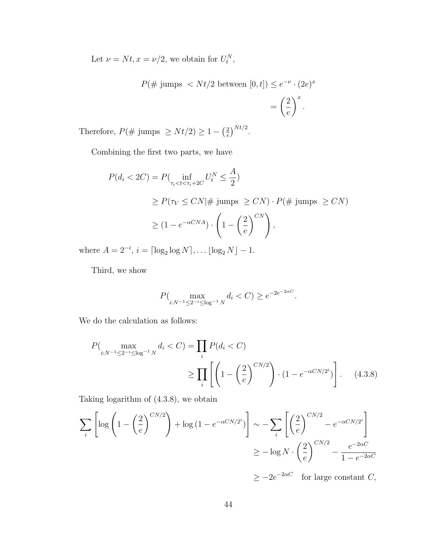Let  $\nu = Nt, x = \nu/2$ , we obtain for  $U_t^N$ ,

$$
P(\text{# jumps} < Nt/2 \text{ between } [0, t]) \le e^{-\nu} \cdot (2e)^x
$$
\n
$$
= \left(\frac{2}{e}\right)^x.
$$

Therefore,  $P(\text{# jumps } \geq Nt/2) \geq 1 - \left(\frac{2}{e}\right)$  $\left(\frac{2}{e}\right)^{Nt/2}.$ 

Combining the first two parts, we have

$$
P(d_i < 2C) = P\left(\inf_{\tau_i < t < \tau_i + 2C} U_t^N \le \frac{A}{2}\right)
$$
\n
$$
\ge P(\tau_V \le CN | \# \text{ jumps } \ge CN) \cdot P(\# \text{ jumps } \ge CN)
$$
\n
$$
\ge (1 - e^{-\alpha CNA}) \cdot \left(1 - \left(\frac{2}{e}\right)^{CN}\right),
$$

where  $A = 2^{-i}$ ,  $i = \lceil \log_2 \log N \rceil$ , ...  $\lfloor \log_2 N \rfloor - 1$ .

Third, we show

$$
P(\max_{i:N^{-1} \le 2^{-i} \le \log^{-1} N} d_i < C) \ge e^{-2e^{-2\alpha C}}.
$$

We do the calculation as follows:

$$
P\left(\max_{i:N^{-1}\leq 2^{-i}\leq \log^{-1}N} d_i < C\right) = \prod_i P(d_i < C)
$$
\n
$$
\geq \prod_i \left[ \left(1 - \left(\frac{2}{e}\right)^{CN/2}\right) \cdot \left(1 - e^{-\alpha CN/2^i}\right) \right]. \tag{4.3.8}
$$

Taking logarithm of (4.3.8), we obtain

$$
\sum_{i} \left[ \log \left( 1 - \left( \frac{2}{e} \right)^{CN/2} \right) + \log \left( 1 - e^{-\alpha CN/2^{i}} \right) \right] \sim -\sum_{i} \left[ \left( \frac{2}{e} \right)^{CN/2} - e^{-\alpha CN/2^{i}} \right] \newline \ge -\log N \cdot \left( \frac{2}{e} \right)^{CN/2} - \frac{e^{-2\alpha C}}{1 - e^{-2\alpha C}}
$$

 $\geq -2e^{-2\alpha C}$  for large constant C,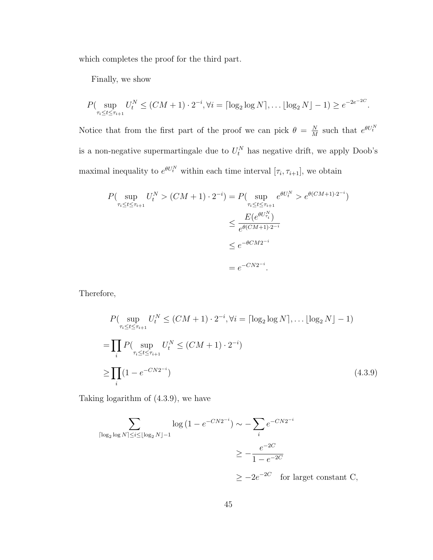which completes the proof for the third part.

Finally, we show

$$
P(\sup_{\tau_i \le t \le \tau_{i+1}} U_t^N \le (CM + 1) \cdot 2^{-i}, \forall i = \lceil \log_2 \log N \rceil, \dots \lfloor \log_2 N \rfloor - 1) \ge e^{-2e^{-2C}}.
$$

Notice that from the first part of the proof we can pick  $\theta = \frac{N}{M}$  $\frac{N}{M}$  such that  $e^{\theta U_t^N}$ is a non-negative supermartingale due to  $U_t^N$  has negative drift, we apply Doob's maximal inequality to  $e^{\theta U_t^N}$  within each time interval  $[\tau_i, \tau_{i+1}]$ , we obtain

$$
P(\sup_{\tau_i \le t \le \tau_{i+1}} U_t^N > (CM + 1) \cdot 2^{-i}) = P(\sup_{\tau_i \le t \le \tau_{i+1}} e^{\theta U_t^N} > e^{\theta (CM + 1) \cdot 2^{-i}})
$$
  

$$
\le \frac{E(e^{\theta U_{\tau_i}^N})}{e^{\theta (CM + 1) \cdot 2^{-i}}}
$$
  

$$
\le e^{-\theta CM 2^{-i}}
$$
  

$$
= e^{-CN 2^{-i}}.
$$

Therefore,

$$
P(\sup_{\tau_i \le t \le \tau_{i+1}} U_t^N \le (CM + 1) \cdot 2^{-i}, \forall i = \lceil \log_2 \log N \rceil, \dots \lfloor \log_2 N \rfloor - 1)
$$
  
= 
$$
\prod_i P(\sup_{\tau_i \le t \le \tau_{i+1}} U_t^N \le (CM + 1) \cdot 2^{-i})
$$
  

$$
\ge \prod_i (1 - e^{-CN2^{-i}})
$$
 (4.3.9)

Taking logarithm of (4.3.9), we have

$$
\sum_{\substack{\lceil \log_2 \log N \rceil \le i \le \lfloor \log_2 N \rfloor - 1}} \log \left( 1 - e^{-CN2^{-i}} \right) \sim -\sum_{i} e^{-CN2^{-i}}
$$
\n
$$
\ge -\frac{e^{-2C}}{1 - e^{-2C}}
$$
\n
$$
\ge -2e^{-2C} \quad \text{for largest constant } C,
$$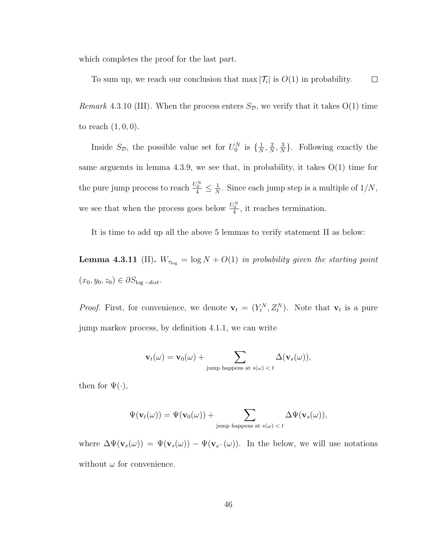which completes the proof for the last part.

Remark 4.3.10 (III). When the process enters  $S_{\mathcal{D}}$ , we verify that it takes O(1) time to reach  $(1, 0, 0)$ .

 $\Box$ 

To sum up, we reach our conclusion that  $\max |\mathcal{T}_i|$  is  $O(1)$  in probability.

Inside  $S_{\mathcal{D}}$ , the possible value set for  $U_0^N$  is  $\{\frac{1}{N}\}$  $\frac{1}{N}$ ,  $\frac{2}{N}$  $\frac{2}{N}$ ,  $\frac{3}{N}$  $\frac{3}{N}$ . Following exactly the same arguemts in lemma 4.3.9, we see that, in probability, it takes  $O(1)$  time for the pure jump process to reach  $\frac{U_0^N}{4} \leq \frac{1}{N}$  $\frac{1}{N}$ . Since each jump step is a multiple of  $1/N$ , we see that when the process goes below  $\frac{U_0^N}{4}$ , it reaches termination.

It is time to add up all the above 5 lemmas to verify statement II as below:

**Lemma 4.3.11** (II).  $W_{\tau_{\text{log}}} = \log N + O(1)$  in probability given the starting point  $(x_0, y_0, z_0) \in \partial S_{\log - dist}.$ 

*Proof.* First, for convenience, we denote  $\mathbf{v}_t = (Y_t^N, Z_t^N)$ . Note that  $\mathbf{v}_t$  is a pure jump markov process, by definition 4.1.1, we can write

$$
\mathbf{v}_t(\omega) = \mathbf{v}_0(\omega) + \sum_{\text{jump happens at } s(\omega) < t} \Delta(\mathbf{v}_s(\omega)),
$$

then for  $\Psi(\cdot)$ ,

$$
\Psi(\mathbf{v}_t(\omega)) = \Psi(\mathbf{v}_0(\omega)) + \sum_{\text{jump happens at } s(\omega) < t} \Delta \Psi(\mathbf{v}_s(\omega)),
$$

where  $\Delta\Psi(\mathbf{v}_s(\omega)) = \Psi(\mathbf{v}_s(\omega)) - \Psi(\mathbf{v}_{s^-}(\omega))$ . In the below, we will use notations without  $\omega$  for convenience.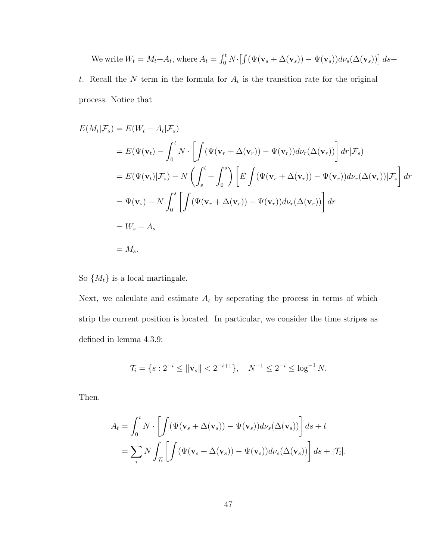We write 
$$
W_t = M_t + A_t
$$
, where  $A_t = \int_0^t N \cdot [ \int (\Psi(\mathbf{v}_s + \Delta(\mathbf{v}_s)) - \Psi(\mathbf{v}_s)) d\nu_s(\Delta(\mathbf{v}_s)) ] ds + t$ . Recall the N term in the formula for  $A_t$  is the transition rate for the original process. Notice that

$$
E(M_t|\mathcal{F}_s) = E(W_t - A_t|\mathcal{F}_s)
$$
  
=  $E(\Psi(\mathbf{v}_t) - \int_0^t N \cdot \left[ \int (\Psi(\mathbf{v}_r + \Delta(\mathbf{v}_r)) - \Psi(\mathbf{v}_r)) d\nu_r(\Delta(\mathbf{v}_r)) \right] dr | \mathcal{F}_s)$   
=  $E(\Psi(\mathbf{v}_t)|\mathcal{F}_s) - N \left( \int_s^t + \int_0^s \right) \left[ E \int (\Psi(\mathbf{v}_r + \Delta(\mathbf{v}_r)) - \Psi(\mathbf{v}_r)) d\nu_r(\Delta(\mathbf{v}_r)) | \mathcal{F}_s \right] dr$   
=  $\Psi(\mathbf{v}_s) - N \int_0^s \left[ \int (\Psi(\mathbf{v}_r + \Delta(\mathbf{v}_r)) - \Psi(\mathbf{v}_r)) d\nu_r(\Delta(\mathbf{v}_r)) \right] dr$   
=  $W_s - A_s$   
=  $M_s$ .

So  $\{M_t\}$  is a local martingale.

Next, we calculate and estimate  $A_t$  by seperating the process in terms of which strip the current position is located. In particular, we consider the time stripes as defined in lemma 4.3.9:

$$
\mathcal{T}_i = \{ s : 2^{-i} \le ||\mathbf{v}_s|| < 2^{-i+1} \}, \quad N^{-1} \le 2^{-i} \le \log^{-1} N.
$$

Then,

$$
A_t = \int_0^t N \cdot \left[ \int (\Psi(\mathbf{v}_s + \Delta(\mathbf{v}_s)) - \Psi(\mathbf{v}_s)) d\nu_s(\Delta(\mathbf{v}_s)) \right] ds + t
$$
  
= 
$$
\sum_i N \int_{\mathcal{T}_i} \left[ \int (\Psi(\mathbf{v}_s + \Delta(\mathbf{v}_s)) - \Psi(\mathbf{v}_s)) d\nu_s(\Delta(\mathbf{v}_s)) \right] ds + |\mathcal{T}_i|.
$$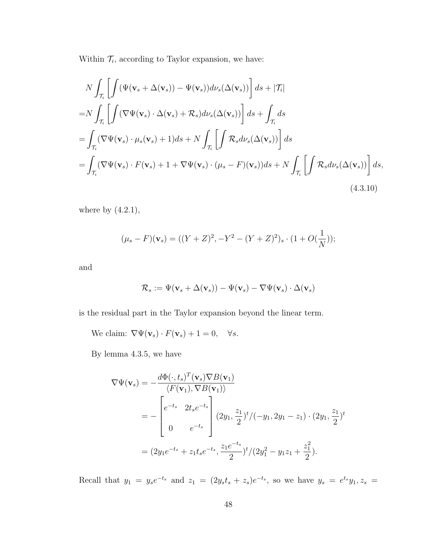Within  $\mathcal{T}_i$ , according to Taylor expansion, we have:

$$
N \int_{\mathcal{T}_i} \left[ \int (\Psi(\mathbf{v}_s + \Delta(\mathbf{v}_s)) - \Psi(\mathbf{v}_s)) d\nu_s(\Delta(\mathbf{v}_s)) \right] ds + |\mathcal{T}_i|
$$
  
\n
$$
= N \int_{\mathcal{T}_i} \left[ \int (\nabla \Psi(\mathbf{v}_s) \cdot \Delta(\mathbf{v}_s) + \mathcal{R}_s) d\nu_s(\Delta(\mathbf{v}_s)) \right] ds + \int_{\mathcal{T}_i} ds
$$
  
\n
$$
= \int_{\mathcal{T}_i} (\nabla \Psi(\mathbf{v}_s) \cdot \mu_s(\mathbf{v}_s) + 1) ds + N \int_{\mathcal{T}_i} \left[ \int \mathcal{R}_s d\nu_s(\Delta(\mathbf{v}_s)) \right] ds
$$
  
\n
$$
= \int_{\mathcal{T}_i} (\nabla \Psi(\mathbf{v}_s) \cdot F(\mathbf{v}_s) + 1 + \nabla \Psi(\mathbf{v}_s) \cdot (\mu_s - F)(\mathbf{v}_s)) ds + N \int_{\mathcal{T}_i} \left[ \int \mathcal{R}_s d\nu_s(\Delta(\mathbf{v}_s)) \right] ds,
$$
  
\n(4.3.10)

where by  $(4.2.1)$ ,

$$
(\mu_s - F)(\mathbf{v}_s) = ((Y + Z)^2, -Y^2 - (Y + Z)^2)_s \cdot (1 + O(\frac{1}{N}));
$$

and

$$
\mathcal{R}_s := \Psi(\mathbf{v}_s + \Delta(\mathbf{v}_s)) - \Psi(\mathbf{v}_s) - \nabla\Psi(\mathbf{v}_s) \cdot \Delta(\mathbf{v}_s)
$$

is the residual part in the Taylor expansion beyond the linear term.

We claim:  $\nabla \Psi(\mathbf{v}_s) \cdot F(\mathbf{v}_s) + 1 = 0$ ,  $\forall s$ .

By lemma 4.3.5, we have

$$
\nabla \Psi(\mathbf{v}_s) = -\frac{d\Phi(\cdot, t_s)^T(\mathbf{v}_s) \nabla B(\mathbf{v}_1)}{\langle F(\mathbf{v}_1), \nabla B(\mathbf{v}_1) \rangle}
$$
  
= 
$$
- \begin{bmatrix} e^{-t_s} & 2t_s e^{-t_s} \\ 0 & e^{-t_s} \end{bmatrix} (2y_1, \frac{z_1}{2})^t / (-y_1, 2y_1 - z_1) \cdot (2y_1, \frac{z_1}{2})^t
$$
  
= 
$$
(2y_1 e^{-t_s} + z_1 t_s e^{-t_s}, \frac{z_1 e^{-t_s}}{2})^t / (2y_1^2 - y_1 z_1 + \frac{z_1^2}{2}).
$$

Recall that  $y_1 = y_s e^{-t_s}$  and  $z_1 = (2y_s t_s + z_s)e^{-t_s}$ , so we have  $y_s = e^{t_s} y_1, z_s =$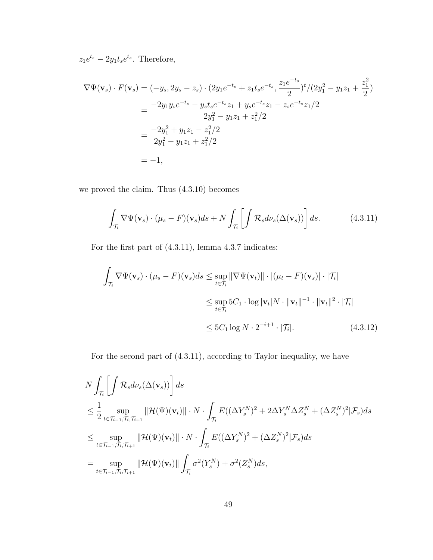$z_1e^{t_s}-2y_1t_se^{t_s}$ . Therefore,

$$
\nabla \Psi(\mathbf{v}_s) \cdot F(\mathbf{v}_s) = (-y_s, 2y_s - z_s) \cdot (2y_1 e^{-t_s} + z_1 t_s e^{-t_s}, \frac{z_1 e^{-t_s}}{2})^t / (2y_1^2 - y_1 z_1 + \frac{z_1^2}{2})
$$
  
= 
$$
\frac{-2y_1 y_s e^{-t_s} - y_s t_s e^{-t_s} z_1 + y_s e^{-t_s} z_1 - z_s e^{-t_s} z_1 / 2}{2y_1^2 - y_1 z_1 + z_1^2 / 2}
$$
  
= 
$$
\frac{-2y_1^2 + y_1 z_1 - z_1^2 / 2}{2y_1^2 - y_1 z_1 + z_1^2 / 2}
$$
  
= -1,

we proved the claim. Thus (4.3.10) becomes

$$
\int_{\mathcal{T}_i} \nabla \Psi(\mathbf{v}_s) \cdot (\mu_s - F)(\mathbf{v}_s) ds + N \int_{\mathcal{T}_i} \left[ \int \mathcal{R}_s d\nu_s(\Delta(\mathbf{v}_s)) \right] ds.
$$
 (4.3.11)

For the first part of (4.3.11), lemma 4.3.7 indicates:

$$
\int_{\mathcal{T}_i} \nabla \Psi(\mathbf{v}_s) \cdot (\mu_s - F)(\mathbf{v}_s) ds \le \sup_{t \in \mathcal{T}_i} \|\nabla \Psi(\mathbf{v}_t)\| \cdot |(\mu_t - F)(\mathbf{v}_s)| \cdot |\mathcal{T}_i|
$$
\n
$$
\le \sup_{t \in \mathcal{T}_i} 5C_1 \cdot \log |\mathbf{v}_t| N \cdot ||\mathbf{v}_t||^{-1} \cdot ||\mathbf{v}_t||^2 \cdot |\mathcal{T}_i|
$$
\n
$$
\le 5C_1 \log N \cdot 2^{-i+1} \cdot |\mathcal{T}_i|. \tag{4.3.12}
$$

For the second part of (4.3.11), according to Taylor inequality, we have

$$
N \int_{\mathcal{T}_i} \left[ \int \mathcal{R}_s d\nu_s(\Delta(\mathbf{v}_s)) \right] ds
$$
  
\n
$$
\leq \frac{1}{2} \sup_{t \in \mathcal{T}_{i-1}, \mathcal{T}_i, \mathcal{T}_{i+1}} \|\mathcal{H}(\Psi)(\mathbf{v}_t)\| \cdot N \cdot \int_{\mathcal{T}_i} E((\Delta Y_s^N)^2 + 2\Delta Y_s^N \Delta Z_s^N + (\Delta Z_s^N)^2 | \mathcal{F}_s) ds
$$
  
\n
$$
\leq \sup_{t \in \mathcal{T}_{i-1}, \mathcal{T}_i, \mathcal{T}_{i+1}} \|\mathcal{H}(\Psi)(\mathbf{v}_t)\| \cdot N \cdot \int_{\mathcal{T}_i} E((\Delta Y_s^N)^2 + (\Delta Z_s^N)^2 | \mathcal{F}_s) ds
$$
  
\n
$$
= \sup_{t \in \mathcal{T}_{i-1}, \mathcal{T}_i, \mathcal{T}_{i+1}} \|\mathcal{H}(\Psi)(\mathbf{v}_t)\| \int_{\mathcal{T}_i} \sigma^2(Y_s^N) + \sigma^2(Z_s^N) ds,
$$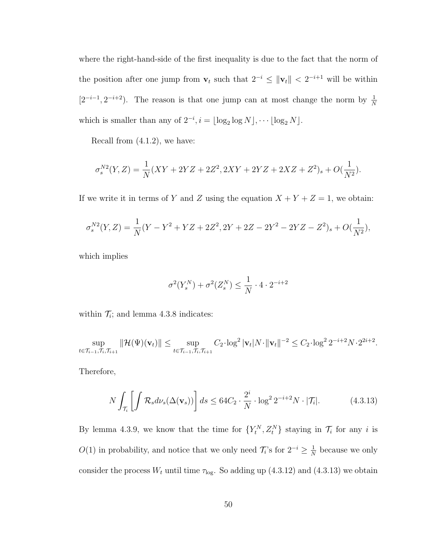where the right-hand-side of the first inequality is due to the fact that the norm of the position after one jump from  $\mathbf{v}_t$  such that  $2^{-i} \leq ||\mathbf{v}_t|| < 2^{-i+1}$  will be within  $[2^{-i-1}, 2^{-i+2})$ . The reason is that one jump can at most change the norm by  $\frac{1}{N}$ which is smaller than any of  $2^{-i}$ ,  $i = \lfloor \log_2 \log N \rfloor$ ,  $\cdots \lfloor \log_2 N \rfloor$ .

Recall from (4.1.2), we have:

$$
\sigma_s^{N2}(Y,Z) = \frac{1}{N}(XY + 2YZ + 2Z^2, 2XY + 2YZ + 2XZ + Z^2)_s + O(\frac{1}{N^2}).
$$

If we write it in terms of Y and Z using the equation  $X + Y + Z = 1$ , we obtain:

$$
\sigma_s^{N2}(Y,Z) = \frac{1}{N}(Y - Y^2 + YZ + 2Z^2, 2Y + 2Z - 2Y^2 - 2YZ - Z^2)_s + O(\frac{1}{N^2}),
$$

which implies

$$
\sigma^2(Y_s^N) + \sigma^2(Z_s^N) \le \frac{1}{N} \cdot 4 \cdot 2^{-i+2}
$$

within  $\mathcal{T}_i$ ; and lemma 4.3.8 indicates:

$$
\sup_{t \in \mathcal{T}_{i-1}, \mathcal{T}_i, \mathcal{T}_{i+1}} \|\mathcal{H}(\Psi)(\mathbf{v}_t)\| \le \sup_{t \in \mathcal{T}_{i-1}, \mathcal{T}_i, \mathcal{T}_{i+1}} C_2 \cdot \log^2 |\mathbf{v}_t| N \cdot \|\mathbf{v}_t\|^{-2} \le C_2 \cdot \log^2 2^{-i+2} N \cdot 2^{2i+2}.
$$

Therefore,

$$
N \int_{\mathcal{T}_i} \left[ \int \mathcal{R}_s d\nu_s(\Delta(\mathbf{v}_s)) \right] ds \le 64C_2 \cdot \frac{2^i}{N} \cdot \log^2 2^{-i+2} N \cdot |\mathcal{T}_i|. \tag{4.3.13}
$$

By lemma 4.3.9, we know that the time for  $\{Y_t^N, Z_t^N\}$  staying in  $\mathcal{T}_i$  for any i is  $O(1)$  in probability, and notice that we only need  $\mathcal{T}_i$ 's for  $2^{-i} \geq \frac{1}{N}$  $\frac{1}{N}$  because we only consider the process  $W_t$  until time  $\tau_{\text{log}}$ . So adding up (4.3.12) and (4.3.13) we obtain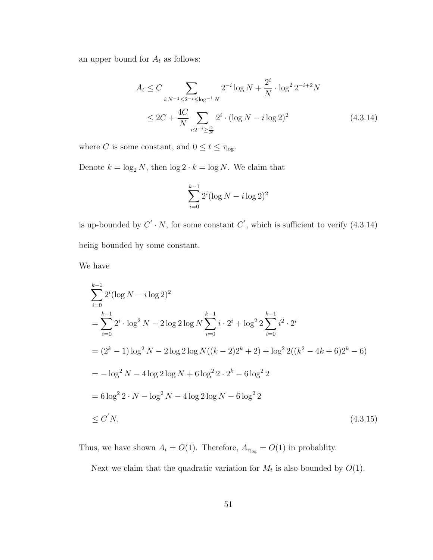an upper bound for  $\mathcal{A}_t$  as follows:

$$
A_t \le C \sum_{i:N^{-1} \le 2^{-i} \le \log^{-1} N} 2^{-i} \log N + \frac{2^i}{N} \cdot \log^2 2^{-i+2} N
$$
  
 
$$
\le 2C + \frac{4C}{N} \sum_{i:2^{-i} \ge \frac{2}{N}} 2^i \cdot (\log N - i \log 2)^2
$$
 (4.3.14)

where C is some constant, and  $0\leq t\leq \tau_{\textrm{log}}.$ 

Denote  $k = \log_2 N,$  then  $\log 2 \cdot k = \log N.$  We claim that

$$
\sum_{i=0}^{k-1} 2^i (\log N - i \log 2)^2
$$

is up-bounded by  $C' \cdot N$ , for some constant  $C'$ , which is sufficient to verify (4.3.14) being bounded by some constant.

We have

$$
\sum_{i=0}^{k-1} 2^{i} (\log N - i \log 2)^{2}
$$
  
= 
$$
\sum_{i=0}^{k-1} 2^{i} \cdot \log^{2} N - 2 \log 2 \log N \sum_{i=0}^{k-1} i \cdot 2^{i} + \log^{2} 2 \sum_{i=0}^{k-1} i^{2} \cdot 2^{i}
$$
  
= 
$$
(2^{k} - 1) \log^{2} N - 2 \log 2 \log N((k - 2)2^{k} + 2) + \log^{2} 2((k^{2} - 4k + 6)2^{k} - 6)
$$
  
= 
$$
- \log^{2} N - 4 \log 2 \log N + 6 \log^{2} 2 \cdot 2^{k} - 6 \log^{2} 2
$$
  
= 
$$
6 \log^{2} 2 \cdot N - \log^{2} N - 4 \log 2 \log N - 6 \log^{2} 2
$$
  

$$
\leq C' N.
$$
 (4.3.15)

Thus, we have shown  $A_t = O(1)$ . Therefore,  $A_{\tau_{\text{log}}} = O(1)$  in probablity.

Next we claim that the quadratic variation for  $M_t$  is also bounded by  $O(1)$ .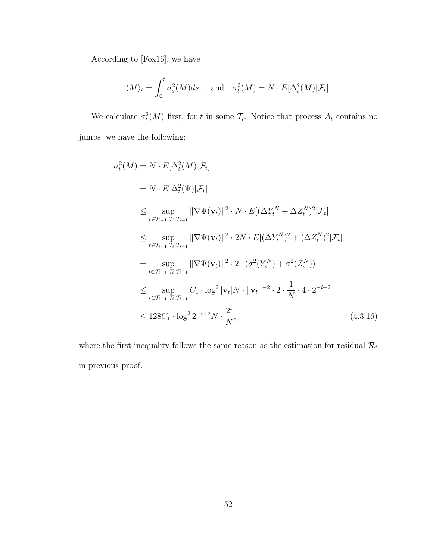According to [Fox16], we have

$$
\langle M \rangle_t = \int_0^t \sigma_s^2(M)ds
$$
, and  $\sigma_t^2(M) = N \cdot E[\Delta_t^2(M)|\mathcal{F}_t].$ 

We calculate  $\sigma_t^2(M)$  first, for t in some  $\mathcal{T}_i$ . Notice that process  $A_t$  contains no jumps, we have the following:

$$
\sigma_t^2(M) = N \cdot E[\Delta_t^2(M)|\mathcal{F}_t]
$$
\n
$$
= N \cdot E[\Delta_t^2(\Psi)|\mathcal{F}_t]
$$
\n
$$
\leq \sup_{t \in \mathcal{T}_{i-1}, \mathcal{T}_i, \mathcal{T}_{i+1}} \|\nabla \Psi(\mathbf{v}_t)\|^2 \cdot N \cdot E[(\Delta Y_t^N + \Delta Z_t^N)^2 | \mathcal{F}_t]
$$
\n
$$
\leq \sup_{t \in \mathcal{T}_{i-1}, \mathcal{T}_i, \mathcal{T}_{i+1}} \|\nabla \Psi(\mathbf{v}_t)\|^2 \cdot 2N \cdot E[(\Delta Y_t^N)^2 + (\Delta Z_t^N)^2 | \mathcal{F}_t]
$$
\n
$$
= \sup_{t \in \mathcal{T}_{i-1}, \mathcal{T}_i, \mathcal{T}_{i+1}} \|\nabla \Psi(\mathbf{v}_t)\|^2 \cdot 2 \cdot (\sigma^2(Y_s^N) + \sigma^2(Z_s^N))
$$
\n
$$
\leq \sup_{t \in \mathcal{T}_{i-1}, \mathcal{T}_i, \mathcal{T}_{i+1}} C_1 \cdot \log^2 |\mathbf{v}_t| N \cdot \|\mathbf{v}_t\|^{-2} \cdot 2 \cdot \frac{1}{N} \cdot 4 \cdot 2^{-i+2}
$$
\n
$$
\leq 128C_1 \cdot \log^2 2^{-i+2} N \cdot \frac{2^i}{N}, \qquad (4.3.16)
$$

where the first inequality follows the same reason as the estimation for residual  $\mathcal{R}_t$ in previous proof.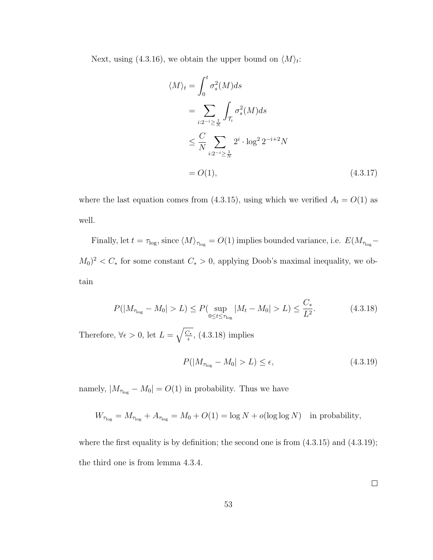Next, using (4.3.16), we obtain the upper bound on  $\langle M \rangle_t$ :

$$
\langle M \rangle_t = \int_0^t \sigma_s^2(M) ds
$$
  
= 
$$
\sum_{i:2^{-i} \ge \frac{1}{N}} \int_{\mathcal{T}_i} \sigma_s^2(M) ds
$$
  

$$
\le \frac{C}{N} \sum_{i:2^{-i} \ge \frac{1}{N}} 2^i \cdot \log^2 2^{-i+2} N
$$
  
=  $O(1),$  (4.3.17)

where the last equation comes from (4.3.15), using which we verified  $A_t = O(1)$  as well.

Finally, let  $t = \tau_{\text{log}}$ , since  $\langle M \rangle_{\tau_{\text{log}}} = O(1)$  implies bounded variance, i.e.  $E(M_{\tau_{\text{log}}} (M_0)^2 < C_*$  for some constant  $C_* > 0$ , applying Doob's maximal inequality, we obtain

$$
P(|M_{\tau_{\text{log}}} - M_0| > L) \le P(\sup_{0 \le t \le \tau_{\text{log}}} |M_t - M_0| > L) \le \frac{C_*}{L^2}.
$$
 (4.3.18)

Therefore,  $\forall \epsilon > 0$ , let  $L = \sqrt{\frac{C_{\ast}}{\epsilon}}$  $\frac{Z_{*}}{\epsilon}$ , (4.3.18) implies

$$
P(|M_{\tau_{\text{log}}} - M_0| > L) \le \epsilon,\tag{4.3.19}
$$

namely,  $|M_{\tau_{\text{log}}} - M_0| = O(1)$  in probability. Thus we have

$$
W_{\tau_{\text{log}}} = M_{\tau_{\text{log}}} + A_{\tau_{\text{log}}} = M_0 + O(1) = \log N + o(\log \log N) \text{ in probability},
$$

where the first equality is by definition; the second one is from  $(4.3.15)$  and  $(4.3.19)$ ; the third one is from lemma 4.3.4.

 $\Box$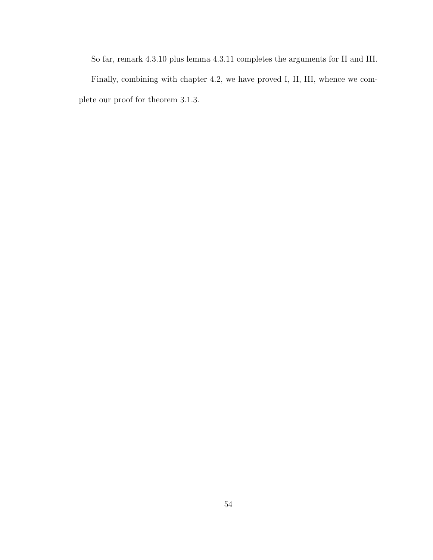So far, remark 4.3.10 plus lemma 4.3.11 completes the arguments for II and III.

Finally, combining with chapter 4.2, we have proved I, II, III, whence we complete our proof for theorem 3.1.3.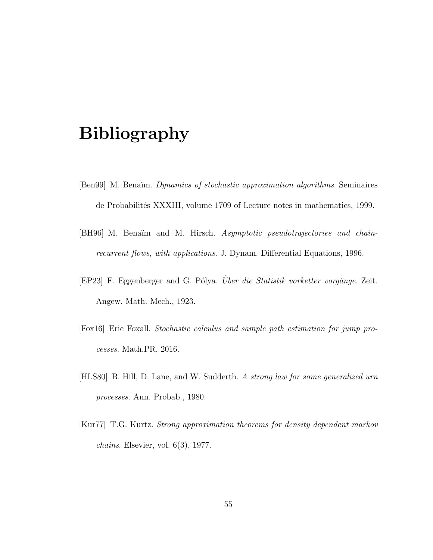# Bibliography

- [Ben99] M. Benaïm. *Dynamics of stochastic approximation algorithms*. Seminaires de Probabilités XXXIII, volume 1709 of Lecture notes in mathematics, 1999.
- [BH96] M. Benaïm and M. Hirsch. Asymptotic pseudotrajectories and chainrecurrent flows, with applications. J. Dynam. Differential Equations, 1996.
- [EP23] F. Eggenberger and G. Pólya. Über die Statistik vorketter vorgänge. Zeit. Angew. Math. Mech., 1923.
- [Fox16] Eric Foxall. Stochastic calculus and sample path estimation for jump processes. Math.PR, 2016.
- [HLS80] B. Hill, D. Lane, and W. Sudderth. A strong law for some generalized urn processes. Ann. Probab., 1980.
- [Kur77] T.G. Kurtz. Strong approximation theorems for density dependent markov *chains.* Elsevier, vol.  $6(3)$ , 1977.